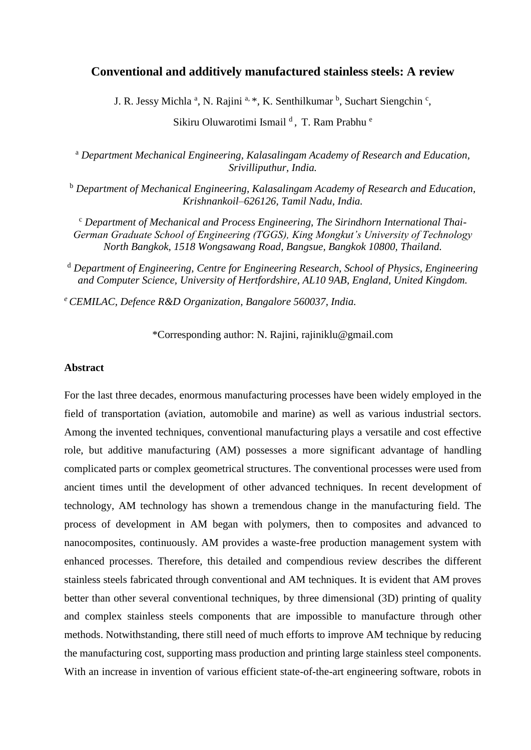# **Conventional and additively manufactured stainless steels: A review**

J. R. Jessy Michla<sup>a</sup>, N. Rajini<sup>a, \*</sup>, K. Senthilkumar <sup>b</sup>, Suchart Siengchin<sup>c</sup>,

Sikiru Oluwarotimi Ismail<sup>d</sup>, T. Ram Prabhu<sup>e</sup>

<sup>a</sup> *Department Mechanical Engineering, Kalasalingam Academy of Research and Education, Srivilliputhur, India.*

<sup>b</sup> *Department of Mechanical Engineering, Kalasalingam Academy of Research and Education, Krishnankoil–626126, Tamil Nadu, India.*

<sup>c</sup> *Department of Mechanical and Process Engineering, The Sirindhorn International Thai-German Graduate School of Engineering (TGGS), King Mongkut's University of Technology North Bangkok, 1518 Wongsawang Road, Bangsue, Bangkok 10800, Thailand.*

<sup>d</sup> *Department of Engineering, Centre for Engineering Research, School of Physics, Engineering and Computer Science, University of Hertfordshire, AL10 9AB, England, United Kingdom.*

*<sup>e</sup>CEMILAC, Defence R&D Organization, Bangalore 560037, India.*

\*Corresponding author: N. Rajini, rajiniklu@gmail.com

### **Abstract**

For the last three decades, enormous manufacturing processes have been widely employed in the field of transportation (aviation, automobile and marine) as well as various industrial sectors. Among the invented techniques, conventional manufacturing plays a versatile and cost effective role, but additive manufacturing (AM) possesses a more significant advantage of handling complicated parts or complex geometrical structures. The conventional processes were used from ancient times until the development of other advanced techniques. In recent development of technology, AM technology has shown a tremendous change in the manufacturing field. The process of development in AM began with polymers, then to composites and advanced to nanocomposites, continuously. AM provides a waste-free production management system with enhanced processes. Therefore, this detailed and compendious review describes the different stainless steels fabricated through conventional and AM techniques. It is evident that AM proves better than other several conventional techniques, by three dimensional (3D) printing of quality and complex stainless steels components that are impossible to manufacture through other methods. Notwithstanding, there still need of much efforts to improve AM technique by reducing the manufacturing cost, supporting mass production and printing large stainless steel components. With an increase in invention of various efficient state-of-the-art engineering software, robots in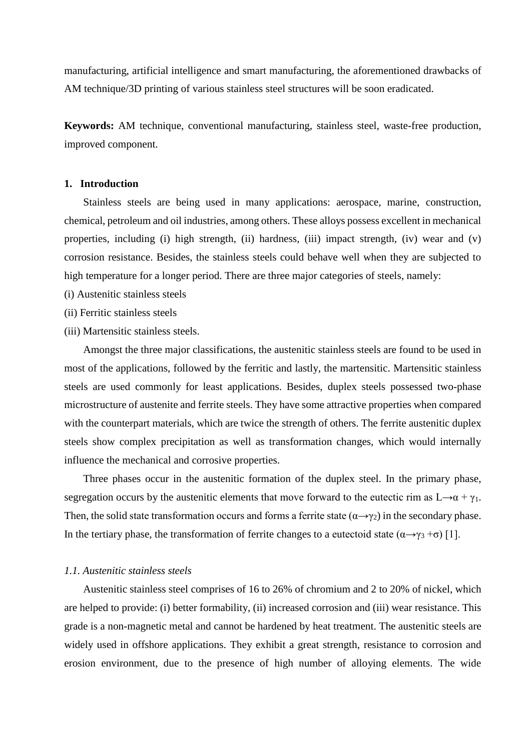manufacturing, artificial intelligence and smart manufacturing, the aforementioned drawbacks of AM technique/3D printing of various stainless steel structures will be soon eradicated.

**Keywords:** AM technique, conventional manufacturing, stainless steel, waste-free production, improved component.

## **1. Introduction**

Stainless steels are being used in many applications: aerospace, marine, construction, chemical, petroleum and oil industries, among others. These alloys possess excellent in mechanical properties, including (i) high strength, (ii) hardness, (iii) impact strength, (iv) wear and (v) corrosion resistance. Besides, the stainless steels could behave well when they are subjected to high temperature for a longer period. There are three major categories of steels, namely:

- (i) Austenitic stainless steels
- (ii) Ferritic stainless steels
- (iii) Martensitic stainless steels.

Amongst the three major classifications, the austenitic stainless steels are found to be used in most of the applications, followed by the ferritic and lastly, the martensitic. Martensitic stainless steels are used commonly for least applications. Besides, duplex steels possessed two-phase microstructure of austenite and ferrite steels. They have some attractive properties when compared with the counterpart materials, which are twice the strength of others. The ferrite austenitic duplex steels show complex precipitation as well as transformation changes, which would internally influence the mechanical and corrosive properties.

Three phases occur in the austenitic formation of the duplex steel. In the primary phase, segregation occurs by the austenitic elements that move forward to the eutectic rim as  $L \rightarrow \alpha + \gamma_1$ . Then, the solid state transformation occurs and forms a ferrite state  $(\alpha \rightarrow \gamma_2)$  in the secondary phase. In the tertiary phase, the transformation of ferrite changes to a eutectoid state  $(\alpha \rightarrow \gamma_3 + \sigma)$  [1].

### *1.1. Austenitic stainless steels*

Austenitic stainless steel comprises of 16 to 26% of chromium and 2 to 20% of nickel, which are helped to provide: (i) better formability, (ii) increased corrosion and (iii) wear resistance. This grade is a non-magnetic metal and cannot be hardened by heat treatment. The austenitic steels are widely used in offshore applications. They exhibit a great strength, resistance to corrosion and erosion environment, due to the presence of high number of alloying elements. The wide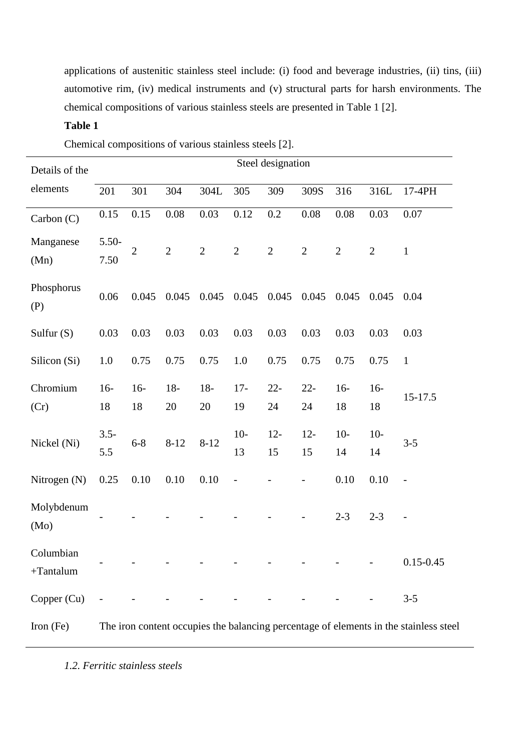applications of austenitic stainless steel include: (i) food and beverage industries, (ii) tins, (iii) automotive rim, (iv) medical instruments and (v) structural parts for harsh environments. The chemical compositions of various stainless steels are presented in Table 1 [2].

# **Table 1**

Chemical compositions of various stainless steels [2].

| Details of the           |                                                                                       |                |              |             |              | Steel designation |              |              |              |                   |
|--------------------------|---------------------------------------------------------------------------------------|----------------|--------------|-------------|--------------|-------------------|--------------|--------------|--------------|-------------------|
| elements                 | 201                                                                                   | 301            | 304          | 304L        | 305          | 309               | 309S         | 316          | 316L         | 17-4PH            |
| Carbon $(C)$             | 0.15                                                                                  | 0.15           | 0.08         | 0.03        | 0.12         | 0.2               | 0.08         | 0.08         | 0.03         | 0.07              |
| Manganese<br>(Mn)        | $5.50-$<br>7.50                                                                       | $\overline{2}$ | $\sqrt{2}$   | $\sqrt{2}$  | $\sqrt{2}$   | $\sqrt{2}$        | $\sqrt{2}$   | $\mathbf{2}$ | $\mathbf{2}$ | $\mathbf{1}$      |
| Phosphorus<br>(P)        | 0.06                                                                                  | 0.045          | 0.045        | 0.045       | 0.045        | 0.045             | 0.045        | 0.045        | 0.045        | 0.04              |
| Sulfur $(S)$             | 0.03                                                                                  | 0.03           | 0.03         | 0.03        | 0.03         | 0.03              | 0.03         | 0.03         | 0.03         | 0.03              |
| Silicon (Si)             | 1.0                                                                                   | 0.75           | 0.75         | 0.75        | 1.0          | 0.75              | 0.75         | 0.75         | 0.75         | $\mathbf{1}$      |
| Chromium<br>(Cr)         | $16-$<br>18                                                                           | $16-$<br>18    | $18 -$<br>20 | $18-$<br>20 | $17 -$<br>19 | $22 -$<br>24      | $22 -$<br>24 | $16-$<br>18  | $16-$<br>18  | 15-17.5           |
| Nickel (Ni)              | $3.5 -$<br>5.5                                                                        | $6 - 8$        | $8 - 12$     | $8 - 12$    | $10-$<br>13  | $12 -$<br>15      | $12 -$<br>15 | $10-$<br>14  | $10-$<br>14  | $3 - 5$           |
| Nitrogen (N)             | 0.25                                                                                  | $0.10\,$       | $0.10\,$     | 0.10        |              |                   |              | 0.10         | 0.10         | $\overline{a}$    |
| Molybdenum<br>(Mo)       |                                                                                       |                |              |             |              |                   |              | $2 - 3$      | $2 - 3$      | $\qquad \qquad -$ |
| Columbian<br>$+Tantalum$ |                                                                                       |                |              |             |              |                   |              |              |              | $0.15 - 0.45$     |
| Copper (Cu)              |                                                                                       |                |              |             |              |                   |              |              |              | $3 - 5$           |
| Iron $(Fe)$              | The iron content occupies the balancing percentage of elements in the stainless steel |                |              |             |              |                   |              |              |              |                   |

*1.2. Ferritic stainless steels*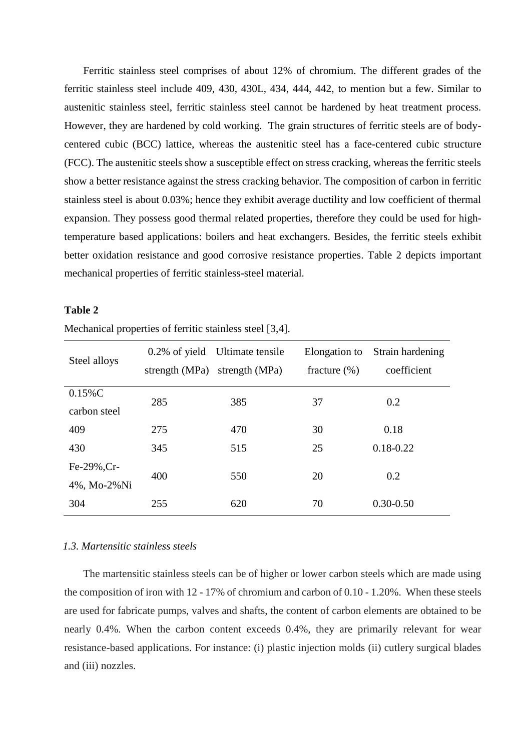Ferritic stainless steel comprises of about 12% of chromium. The different grades of the ferritic stainless steel include 409, 430, 430L, 434, 444, 442, to mention but a few. Similar to austenitic stainless steel, ferritic stainless steel cannot be hardened by heat treatment process. However, they are hardened by cold working. The grain structures of ferritic steels are of bodycentered cubic (BCC) lattice, whereas the austenitic steel has a face-centered cubic structure (FCC). The austenitic steels show a susceptible effect on stress cracking, whereas the ferritic steels show a better resistance against the stress cracking behavior. The composition of carbon in ferritic stainless steel is about 0.03%; hence they exhibit average ductility and low coefficient of thermal expansion. They possess good thermal related properties, therefore they could be used for hightemperature based applications: boilers and heat exchangers. Besides, the ferritic steels exhibit better oxidation resistance and good corrosive resistance properties. Table 2 depicts important mechanical properties of ferritic stainless-steel material.

### **Table 2**

| Steel alloys | $0.2\%$ of yield | Ultimate tensile | Elongation to   | Strain hardening |  |
|--------------|------------------|------------------|-----------------|------------------|--|
|              | strength (MPa)   | strength (MPa)   | fracture $(\%)$ | coefficient      |  |
| $0.15\%C$    | 285              | 385              | 37              | 0.2              |  |
| carbon steel |                  |                  |                 |                  |  |
| 409          | 275              | 470              | 30              | 0.18             |  |
| 430          | 345              | 515              | 25              | $0.18 - 0.22$    |  |
| Fe-29%, Cr-  |                  |                  |                 |                  |  |
| 4%, Mo-2%Ni  | 400              | 550              | 20              | 0.2              |  |
| 304          | 255              | 620              | 70              | $0.30 - 0.50$    |  |

Mechanical properties of ferritic stainless steel [3,4].

### *1.3. Martensitic stainless steels*

The martensitic stainless steels can be of higher or lower carbon steels which are made using the composition of iron with 12 - 17% of chromium and carbon of 0.10 - 1.20%. When these steels are used for fabricate pumps, valves and shafts, the content of carbon elements are obtained to be nearly 0.4%. When the carbon content exceeds 0.4%, they are primarily relevant for wear resistance-based applications. For instance: (i) plastic injection molds (ii) cutlery surgical blades and (iii) nozzles.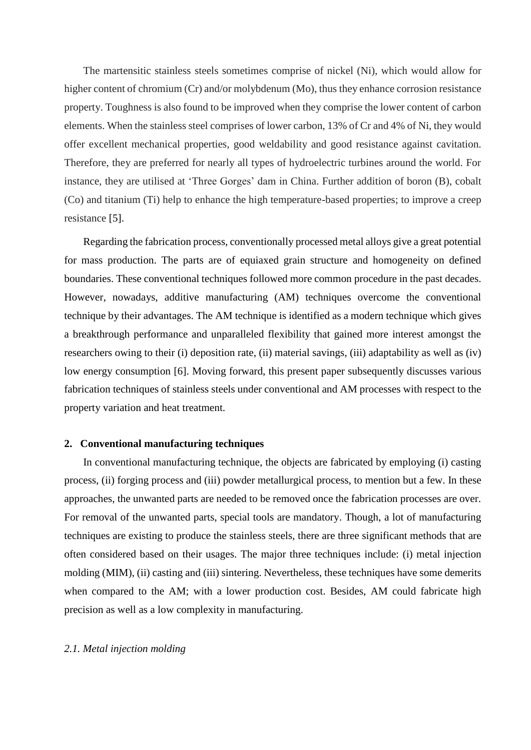The martensitic stainless steels sometimes comprise of nickel (Ni), which would allow for higher content of chromium (Cr) and/or molybdenum (Mo), thus they enhance corrosion resistance property. Toughness is also found to be improved when they comprise the lower content of carbon elements. When the stainless steel comprises of lower carbon, 13% of Cr and 4% of Ni, they would offer excellent mechanical properties, good weldability and good resistance against cavitation. Therefore, they are preferred for nearly all types of hydroelectric turbines around the world. For instance, they are utilised at 'Three Gorges' dam in China. Further addition of boron (B), cobalt (Co) and titanium (Ti) help to enhance the high temperature-based properties; to improve a creep resistance [5].

Regarding the fabrication process, conventionally processed metal alloys give a great potential for mass production. The parts are of equiaxed grain structure and homogeneity on defined boundaries. These conventional techniques followed more common procedure in the past decades. However, nowadays, additive manufacturing (AM) techniques overcome the conventional technique by their advantages. The AM technique is identified as a modern technique which gives a breakthrough performance and unparalleled flexibility that gained more interest amongst the researchers owing to their (i) deposition rate, (ii) material savings, (iii) adaptability as well as (iv) low energy consumption [6]. Moving forward, this present paper subsequently discusses various fabrication techniques of stainless steels under conventional and AM processes with respect to the property variation and heat treatment.

### **2. Conventional manufacturing techniques**

In conventional manufacturing technique, the objects are fabricated by employing (i) casting process, (ii) forging process and (iii) powder metallurgical process, to mention but a few. In these approaches, the unwanted parts are needed to be removed once the fabrication processes are over. For removal of the unwanted parts, special tools are mandatory. Though, a lot of manufacturing techniques are existing to produce the stainless steels, there are three significant methods that are often considered based on their usages. The major three techniques include: (i) metal injection molding (MIM), (ii) casting and (iii) sintering. Nevertheless, these techniques have some demerits when compared to the AM; with a lower production cost. Besides, AM could fabricate high precision as well as a low complexity in manufacturing.

### *2.1. Metal injection molding*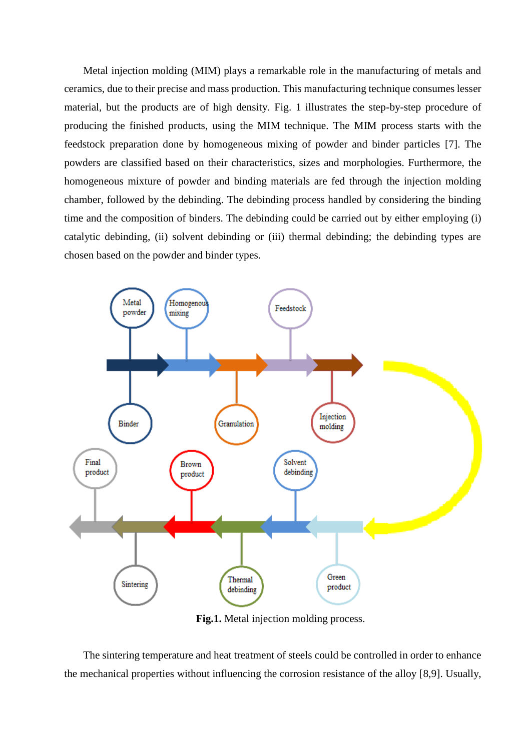Metal injection molding (MIM) plays a remarkable role in the manufacturing of metals and ceramics, due to their precise and mass production. This manufacturing technique consumes lesser material, but the products are of high density. Fig. 1 illustrates the step-by-step procedure of producing the finished products, using the MIM technique. The MIM process starts with the feedstock preparation done by homogeneous mixing of powder and binder particles [7]. The powders are classified based on their characteristics, sizes and morphologies. Furthermore, the homogeneous mixture of powder and binding materials are fed through the injection molding chamber, followed by the debinding. The debinding process handled by considering the binding time and the composition of binders. The debinding could be carried out by either employing (i) catalytic debinding, (ii) solvent debinding or (iii) thermal debinding; the debinding types are chosen based on the powder and binder types.



**Fig.1.** Metal injection molding process.

The sintering temperature and heat treatment of steels could be controlled in order to enhance the mechanical properties without influencing the corrosion resistance of the alloy [8,9]. Usually,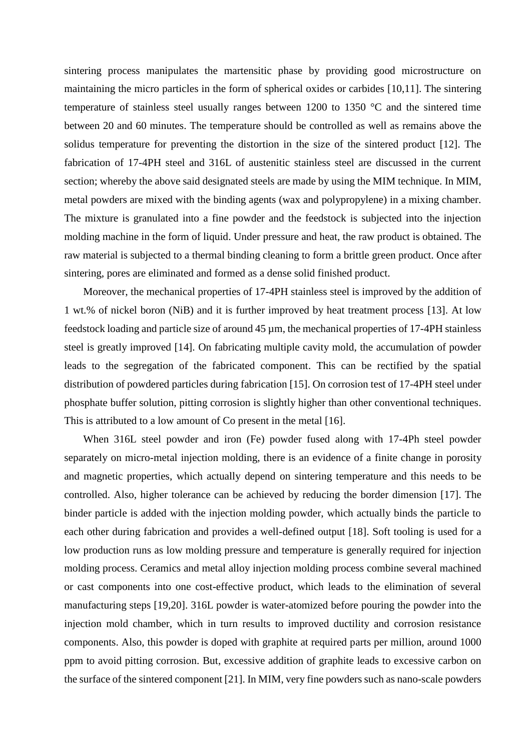sintering process manipulates the martensitic phase by providing good microstructure on maintaining the micro particles in the form of spherical oxides or carbides [10,11]. The sintering temperature of stainless steel usually ranges between 1200 to 1350 °C and the sintered time between 20 and 60 minutes. The temperature should be controlled as well as remains above the solidus temperature for preventing the distortion in the size of the sintered product [12]. The fabrication of 17-4PH steel and 316L of austenitic stainless steel are discussed in the current section; whereby the above said designated steels are made by using the MIM technique. In MIM, metal powders are mixed with the binding agents (wax and polypropylene) in a mixing chamber. The mixture is granulated into a fine powder and the feedstock is subjected into the injection molding machine in the form of liquid. Under pressure and heat, the raw product is obtained. The raw material is subjected to a thermal binding cleaning to form a brittle green product. Once after sintering, pores are eliminated and formed as a dense solid finished product.

Moreover, the mechanical properties of 17-4PH stainless steel is improved by the addition of 1 wt.% of nickel boron (NiB) and it is further improved by heat treatment process [13]. At low feedstock loading and particle size of around 45 µm, the mechanical properties of 17-4PH stainless steel is greatly improved [14]. On fabricating multiple cavity mold, the accumulation of powder leads to the segregation of the fabricated component. This can be rectified by the spatial distribution of powdered particles during fabrication [15]. On corrosion test of 17-4PH steel under phosphate buffer solution, pitting corrosion is slightly higher than other conventional techniques. This is attributed to a low amount of Co present in the metal [16].

When 316L steel powder and iron (Fe) powder fused along with 17-4Ph steel powder separately on micro-metal injection molding, there is an evidence of a finite change in porosity and magnetic properties, which actually depend on sintering temperature and this needs to be controlled. Also, higher tolerance can be achieved by reducing the border dimension [17]. The binder particle is added with the injection molding powder, which actually binds the particle to each other during fabrication and provides a well-defined output [18]. Soft tooling is used for a low production runs as low molding pressure and temperature is generally required for injection molding process. Ceramics and metal alloy injection molding process combine several machined or cast components into one cost-effective product, which leads to the elimination of several manufacturing steps [19,20]. 316L powder is water-atomized before pouring the powder into the injection mold chamber, which in turn results to improved ductility and corrosion resistance components. Also, this powder is doped with graphite at required parts per million, around 1000 ppm to avoid pitting corrosion. But, excessive addition of graphite leads to excessive carbon on the surface of the sintered component [21]. In MIM, very fine powders such as nano-scale powders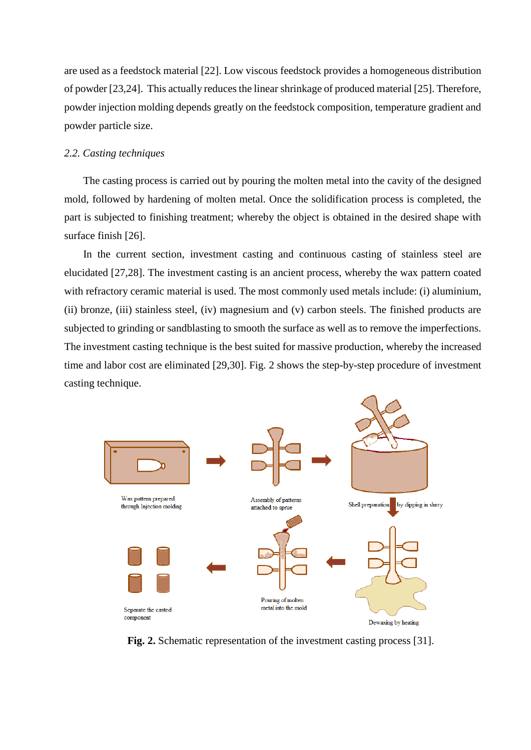are used as a feedstock material [22]. Low viscous feedstock provides a homogeneous distribution of powder [23,24]. This actually reduces the linear shrinkage of produced material [25]. Therefore, powder injection molding depends greatly on the feedstock composition, temperature gradient and powder particle size.

### *2.2. Casting techniques*

The casting process is carried out by pouring the molten metal into the cavity of the designed mold, followed by hardening of molten metal. Once the solidification process is completed, the part is subjected to finishing treatment; whereby the object is obtained in the desired shape with surface finish [26].

In the current section, investment casting and continuous casting of stainless steel are elucidated [27,28]. The investment casting is an ancient process, whereby the wax pattern coated with refractory ceramic material is used. The most commonly used metals include: (i) aluminium, (ii) bronze, (iii) stainless steel, (iv) magnesium and (v) carbon steels. The finished products are subjected to grinding or sandblasting to smooth the surface as well as to remove the imperfections. The investment casting technique is the best suited for massive production, whereby the increased time and labor cost are eliminated [29,30]. Fig. 2 shows the step-by-step procedure of investment casting technique.



**Fig. 2.** Schematic representation of the investment casting process [31].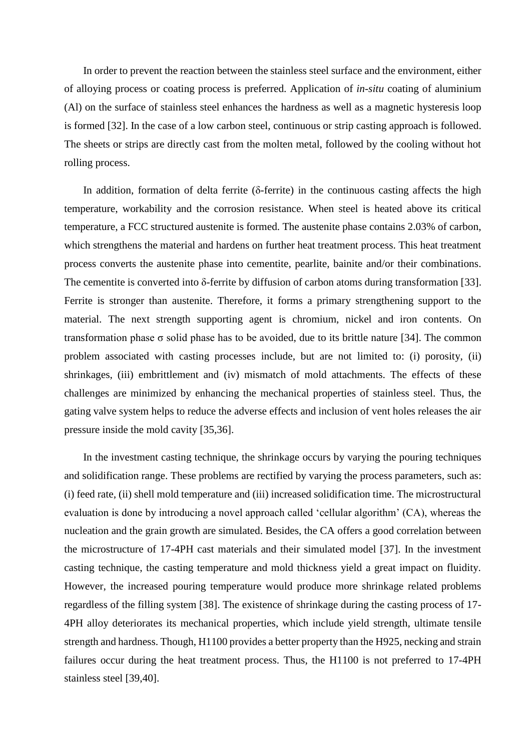In order to prevent the reaction between the stainless steel surface and the environment, either of alloying process or coating process is preferred. Application of *in-situ* coating of aluminium (Al) on the surface of stainless steel enhances the hardness as well as a magnetic hysteresis loop is formed [32]. In the case of a low carbon steel, continuous or strip casting approach is followed. The sheets or strips are directly cast from the molten metal, followed by the cooling without hot rolling process.

In addition, formation of delta ferrite (δ-ferrite) in the continuous casting affects the high temperature, workability and the corrosion resistance. When steel is heated above its critical temperature, a FCC structured austenite is formed. The austenite phase contains 2.03% of carbon, which strengthens the material and hardens on further heat treatment process. This heat treatment process converts the austenite phase into cementite, pearlite, bainite and/or their combinations. The cementite is converted into δ-ferrite by diffusion of carbon atoms during transformation [33]. Ferrite is stronger than austenite. Therefore, it forms a primary strengthening support to the material. The next strength supporting agent is chromium, nickel and iron contents. On transformation phase σ solid phase has to be avoided, due to its brittle nature [34]. The common problem associated with casting processes include, but are not limited to: (i) porosity, (ii) shrinkages, (iii) embrittlement and (iv) mismatch of mold attachments. The effects of these challenges are minimized by enhancing the mechanical properties of stainless steel. Thus, the gating valve system helps to reduce the adverse effects and inclusion of vent holes releases the air pressure inside the mold cavity [35,36].

In the investment casting technique, the shrinkage occurs by varying the pouring techniques and solidification range. These problems are rectified by varying the process parameters, such as: (i) feed rate, (ii) shell mold temperature and (iii) increased solidification time. The microstructural evaluation is done by introducing a novel approach called 'cellular algorithm' (CA), whereas the nucleation and the grain growth are simulated. Besides, the CA offers a good correlation between the microstructure of 17-4PH cast materials and their simulated model [37]. In the investment casting technique, the casting temperature and mold thickness yield a great impact on fluidity. However, the increased pouring temperature would produce more shrinkage related problems regardless of the filling system [38]. The existence of shrinkage during the casting process of 17- 4PH alloy deteriorates its mechanical properties, which include yield strength, ultimate tensile strength and hardness. Though, H1100 provides a better property than the H925, necking and strain failures occur during the heat treatment process. Thus, the H1100 is not preferred to 17-4PH stainless steel [39,40].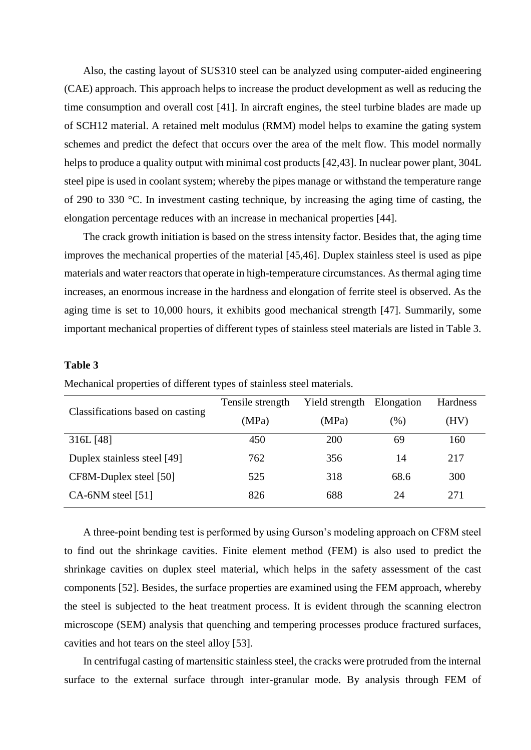Also, the casting layout of SUS310 steel can be analyzed using computer-aided engineering (CAE) approach. This approach helps to increase the product development as well as reducing the time consumption and overall cost [41]. In aircraft engines, the steel turbine blades are made up of SCH12 material. A retained melt modulus (RMM) model helps to examine the gating system schemes and predict the defect that occurs over the area of the melt flow. This model normally helps to produce a quality output with minimal cost products [42,43]. In nuclear power plant, 304L steel pipe is used in coolant system; whereby the pipes manage or withstand the temperature range of 290 to 330 °C. In investment casting technique, by increasing the aging time of casting, the elongation percentage reduces with an increase in mechanical properties [44].

The crack growth initiation is based on the stress intensity factor. Besides that, the aging time improves the mechanical properties of the material [45,46]. Duplex stainless steel is used as pipe materials and water reactors that operate in high-temperature circumstances. As thermal aging time increases, an enormous increase in the hardness and elongation of ferrite steel is observed. As the aging time is set to 10,000 hours, it exhibits good mechanical strength [47]. Summarily, some important mechanical properties of different types of stainless steel materials are listed in Table 3.

## **Table 3**

|                                  | Tensile strength | Yield strength Elongation |        | Hardness |
|----------------------------------|------------------|---------------------------|--------|----------|
| Classifications based on casting | (MPa)            | (MPa)                     | $(\%)$ | (HV)     |
| 316L [48]                        | 450              | 200                       | 69     | 160      |
| Duplex stainless steel [49]      | 762              | 356                       | 14     | 217      |
| CF8M-Duplex steel [50]           | 525              | 318                       | 68.6   | 300      |
| $CA-6NM$ steel [51]              | 826              | 688                       | 24     | 271      |

Mechanical properties of different types of stainless steel materials.

A three-point bending test is performed by using Gurson's modeling approach on CF8M steel to find out the shrinkage cavities. Finite element method (FEM) is also used to predict the shrinkage cavities on duplex steel material, which helps in the safety assessment of the cast components [52]. Besides, the surface properties are examined using the FEM approach, whereby the steel is subjected to the heat treatment process. It is evident through the scanning electron microscope (SEM) analysis that quenching and tempering processes produce fractured surfaces, cavities and hot tears on the steel alloy [53].

In centrifugal casting of martensitic stainless steel, the cracks were protruded from the internal surface to the external surface through inter-granular mode. By analysis through FEM of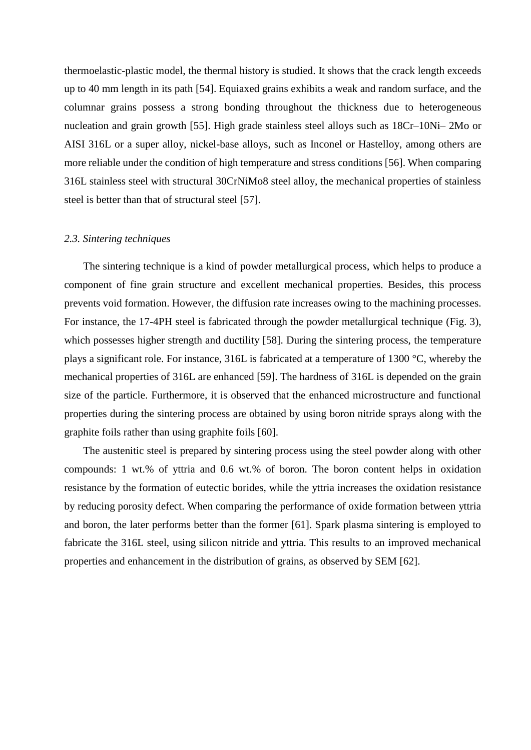thermoelastic-plastic model, the thermal history is studied. It shows that the crack length exceeds up to 40 mm length in its path [54]. Equiaxed grains exhibits a weak and random surface, and the columnar grains possess a strong bonding throughout the thickness due to heterogeneous nucleation and grain growth [55]. High grade stainless steel alloys such as 18Cr–10Ni– 2Mo or AISI 316L or a super alloy, nickel-base alloys, such as Inconel or Hastelloy, among others are more reliable under the condition of high temperature and stress conditions [56]. When comparing 316L stainless steel with structural 30CrNiMo8 steel alloy, the mechanical properties of stainless steel is better than that of structural steel [57].

### *2.3. Sintering techniques*

The sintering technique is a kind of powder metallurgical process, which helps to produce a component of fine grain structure and excellent mechanical properties. Besides, this process prevents void formation. However, the diffusion rate increases owing to the machining processes. For instance, the 17-4PH steel is fabricated through the powder metallurgical technique (Fig. 3), which possesses higher strength and ductility [58]. During the sintering process, the temperature plays a significant role. For instance, 316L is fabricated at a temperature of 1300 °C, whereby the mechanical properties of 316L are enhanced [59]. The hardness of 316L is depended on the grain size of the particle. Furthermore, it is observed that the enhanced microstructure and functional properties during the sintering process are obtained by using boron nitride sprays along with the graphite foils rather than using graphite foils [60].

The austenitic steel is prepared by sintering process using the steel powder along with other compounds: 1 wt.% of yttria and 0.6 wt.% of boron. The boron content helps in oxidation resistance by the formation of eutectic borides, while the yttria increases the oxidation resistance by reducing porosity defect. When comparing the performance of oxide formation between yttria and boron, the later performs better than the former [61]. Spark plasma sintering is employed to fabricate the 316L steel, using silicon nitride and yttria. This results to an improved mechanical properties and enhancement in the distribution of grains, as observed by SEM [62].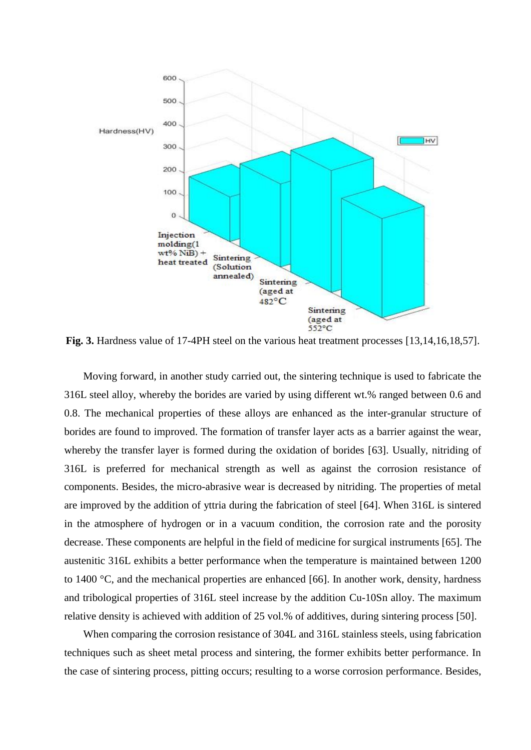

**Fig. 3.** Hardness value of 17-4PH steel on the various heat treatment processes [13,14,16,18,57].

Moving forward, in another study carried out, the sintering technique is used to fabricate the 316L steel alloy, whereby the borides are varied by using different wt.% ranged between 0.6 and 0.8. The mechanical properties of these alloys are enhanced as the inter-granular structure of borides are found to improved. The formation of transfer layer acts as a barrier against the wear, whereby the transfer layer is formed during the oxidation of borides [63]. Usually, nitriding of 316L is preferred for mechanical strength as well as against the corrosion resistance of components. Besides, the micro-abrasive wear is decreased by nitriding. The properties of metal are improved by the addition of yttria during the fabrication of steel [64]. When 316L is sintered in the atmosphere of hydrogen or in a vacuum condition, the corrosion rate and the porosity decrease. These components are helpful in the field of medicine for surgical instruments [65]. The austenitic 316L exhibits a better performance when the temperature is maintained between 1200 to 1400 °C, and the mechanical properties are enhanced [66]. In another work, density, hardness and tribological properties of 316L steel increase by the addition Cu-10Sn alloy. The maximum relative density is achieved with addition of 25 vol.% of additives, during sintering process [50].

When comparing the corrosion resistance of 304L and 316L stainless steels, using fabrication techniques such as sheet metal process and sintering, the former exhibits better performance. In the case of sintering process, pitting occurs; resulting to a worse corrosion performance. Besides,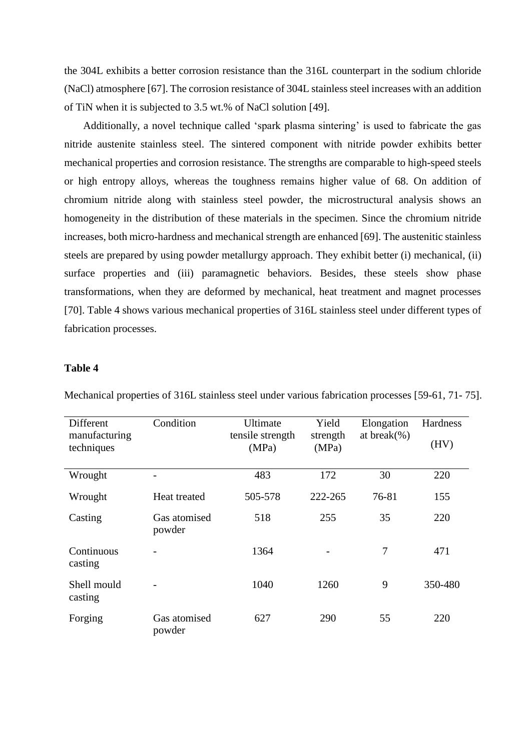the 304L exhibits a better corrosion resistance than the 316L counterpart in the sodium chloride (NaCl) atmosphere [67]. The corrosion resistance of 304L stainless steel increases with an addition of TiN when it is subjected to 3.5 wt.% of NaCl solution [49].

Additionally, a novel technique called 'spark plasma sintering' is used to fabricate the gas nitride austenite stainless steel. The sintered component with nitride powder exhibits better mechanical properties and corrosion resistance. The strengths are comparable to high-speed steels or high entropy alloys, whereas the toughness remains higher value of 68. On addition of chromium nitride along with stainless steel powder, the microstructural analysis shows an homogeneity in the distribution of these materials in the specimen. Since the chromium nitride increases, both micro-hardness and mechanical strength are enhanced [69]. The austenitic stainless steels are prepared by using powder metallurgy approach. They exhibit better (i) mechanical, (ii) surface properties and (iii) paramagnetic behaviors. Besides, these steels show phase transformations, when they are deformed by mechanical, heat treatment and magnet processes [70]. Table 4 shows various mechanical properties of 316L stainless steel under different types of fabrication processes.

### **Table 4**

| Different                   | Condition              | Ultimate                  | Yield             | Elongation       | Hardness |
|-----------------------------|------------------------|---------------------------|-------------------|------------------|----------|
| manufacturing<br>techniques |                        | tensile strength<br>(MPa) | strength<br>(MPa) | at break $(\% )$ | (HV)     |
| Wrought                     |                        | 483                       | 172               | 30               | 220      |
| Wrought                     | Heat treated           | 505-578                   | 222-265           | 76-81            | 155      |
| Casting                     | Gas atomised<br>powder | 518                       | 255               | 35               | 220      |
| Continuous<br>casting       |                        | 1364                      |                   | $\overline{7}$   | 471      |
| Shell mould<br>casting      |                        | 1040                      | 1260              | 9                | 350-480  |
| Forging                     | Gas atomised<br>powder | 627                       | 290               | 55               | 220      |

Mechanical properties of 316L stainless steel under various fabrication processes [59-61, 71- 75].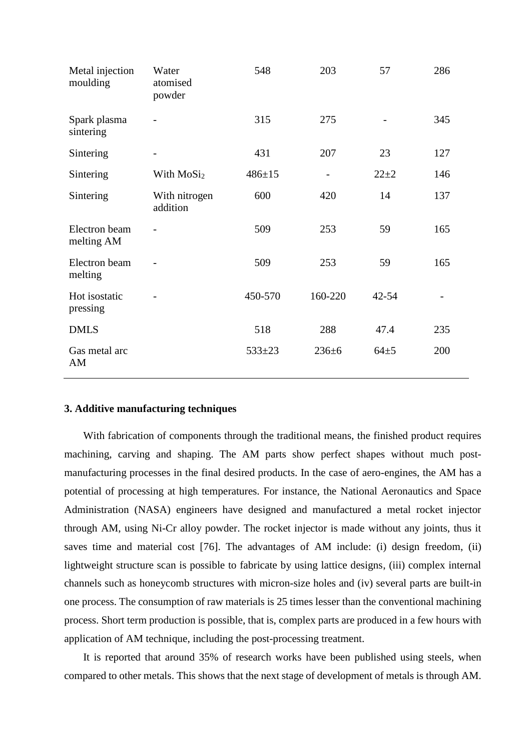| Metal injection<br>moulding | Water<br>atomised<br>powder | 548          | 203         | 57        | 286 |
|-----------------------------|-----------------------------|--------------|-------------|-----------|-----|
| Spark plasma<br>sintering   |                             | 315          | 275         |           | 345 |
| Sintering                   |                             | 431          | 207         | 23        | 127 |
| Sintering                   | With $MoSi2$                | $486 \pm 15$ |             | $22 + 2$  | 146 |
| Sintering                   | With nitrogen<br>addition   | 600          | 420         | 14        | 137 |
| Electron beam<br>melting AM |                             | 509          | 253         | 59        | 165 |
| Electron beam<br>melting    |                             | 509          | 253         | 59        | 165 |
| Hot isostatic<br>pressing   |                             | 450-570      | 160-220     | $42 - 54$ |     |
| <b>DMLS</b>                 |                             | 518          | 288         | 47.4      | 235 |
| Gas metal arc<br>AM         |                             | $533 \pm 23$ | $236 \pm 6$ | $64 + 5$  | 200 |

## **3. Additive manufacturing techniques**

With fabrication of components through the traditional means, the finished product requires machining, carving and shaping. The AM parts show perfect shapes without much postmanufacturing processes in the final desired products. In the case of aero-engines, the AM has a potential of processing at high temperatures. For instance, the National Aeronautics and Space Administration (NASA) engineers have designed and manufactured a metal rocket injector through AM, using Ni-Cr alloy powder. The rocket injector is made without any joints, thus it saves time and material cost [76]. The advantages of AM include: (i) design freedom, (ii) lightweight structure scan is possible to fabricate by using lattice designs, (iii) complex internal channels such as honeycomb structures with micron-size holes and (iv) several parts are built-in one process. The consumption of raw materials is 25 times lesser than the conventional machining process. Short term production is possible, that is, complex parts are produced in a few hours with application of AM technique, including the post-processing treatment.

It is reported that around 35% of research works have been published using steels, when compared to other metals. This shows that the next stage of development of metals is through AM.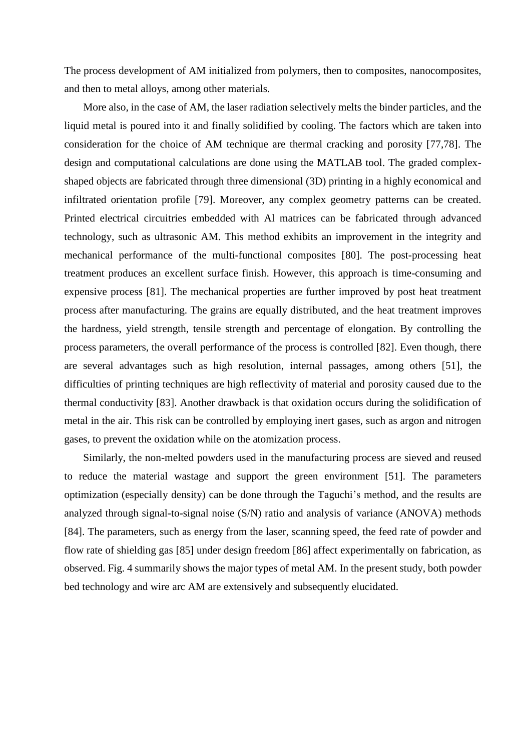The process development of AM initialized from polymers, then to composites, nanocomposites, and then to metal alloys, among other materials.

More also, in the case of AM, the laser radiation selectively melts the binder particles, and the liquid metal is poured into it and finally solidified by cooling. The factors which are taken into consideration for the choice of AM technique are thermal cracking and porosity [77,78]. The design and computational calculations are done using the MATLAB tool. The graded complexshaped objects are fabricated through three dimensional (3D) printing in a highly economical and infiltrated orientation profile [79]. Moreover, any complex geometry patterns can be created. Printed electrical circuitries embedded with Al matrices can be fabricated through advanced technology, such as ultrasonic AM. This method exhibits an improvement in the integrity and mechanical performance of the multi-functional composites [80]. The post-processing heat treatment produces an excellent surface finish. However, this approach is time-consuming and expensive process [81]. The mechanical properties are further improved by post heat treatment process after manufacturing. The grains are equally distributed, and the heat treatment improves the hardness, yield strength, tensile strength and percentage of elongation. By controlling the process parameters, the overall performance of the process is controlled [82]. Even though, there are several advantages such as high resolution, internal passages, among others [51], the difficulties of printing techniques are high reflectivity of material and porosity caused due to the thermal conductivity [83]. Another drawback is that oxidation occurs during the solidification of metal in the air. This risk can be controlled by employing inert gases, such as argon and nitrogen gases, to prevent the oxidation while on the atomization process.

Similarly, the non-melted powders used in the manufacturing process are sieved and reused to reduce the material wastage and support the green environment [51]. The parameters optimization (especially density) can be done through the Taguchi's method, and the results are analyzed through signal-to-signal noise (S/N) ratio and analysis of variance (ANOVA) methods [84]. The parameters, such as energy from the laser, scanning speed, the feed rate of powder and flow rate of shielding gas [85] under design freedom [86] affect experimentally on fabrication, as observed. Fig. 4 summarily shows the major types of metal AM. In the present study, both powder bed technology and wire arc AM are extensively and subsequently elucidated.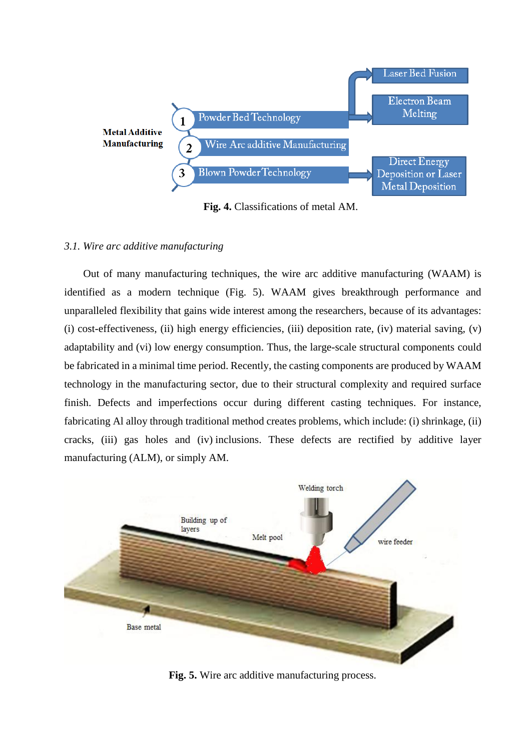

**Fig. 4.** Classifications of metal AM.

### *3.1. Wire arc additive manufacturing*

Out of many manufacturing techniques, the wire arc additive manufacturing (WAAM) is identified as a modern technique (Fig. 5). WAAM gives breakthrough performance and unparalleled flexibility that gains wide interest among the researchers, because of its advantages: (i) cost-effectiveness, (ii) high energy efficiencies, (iii) deposition rate, (iv) material saving, (v) adaptability and (vi) low energy consumption. Thus, the large-scale structural components could be fabricated in a minimal time period. Recently, the casting components are produced by WAAM technology in the manufacturing sector, due to their structural complexity and required surface finish. Defects and imperfections occur during different casting techniques. For instance, fabricating Al alloy through traditional method creates problems, which include: (i) shrinkage, (ii) cracks, (iii) gas holes and (iv) inclusions. These defects are rectified by additive layer manufacturing (ALM), or simply AM.



**Fig. 5.** Wire arc additive manufacturing process.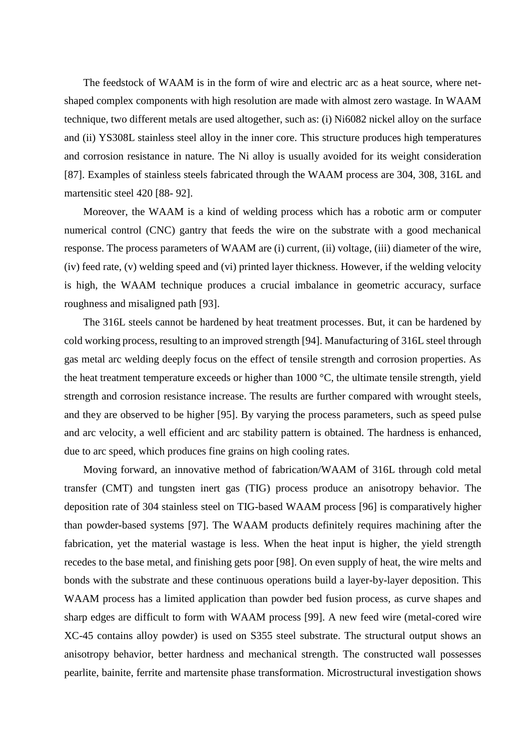The feedstock of WAAM is in the form of wire and electric arc as a heat source, where netshaped complex components with high resolution are made with almost zero wastage. In WAAM technique, two different metals are used altogether, such as: (i) Ni6082 nickel alloy on the surface and (ii) YS308L stainless steel alloy in the inner core. This structure produces high temperatures and corrosion resistance in nature. The Ni alloy is usually avoided for its weight consideration [87]. Examples of stainless steels fabricated through the WAAM process are 304, 308, 316L and martensitic steel 420 [88- 92].

Moreover, the WAAM is a kind of welding process which has a robotic arm or computer numerical control (CNC) gantry that feeds the wire on the substrate with a good mechanical response. The process parameters of WAAM are (i) current, (ii) voltage, (iii) diameter of the wire, (iv) feed rate, (v) welding speed and (vi) printed layer thickness. However, if the welding velocity is high, the WAAM technique produces a crucial imbalance in geometric accuracy, surface roughness and misaligned path [93].

The 316L steels cannot be hardened by heat treatment processes. But, it can be hardened by cold working process, resulting to an improved strength [94]. Manufacturing of 316L steel through gas metal arc welding deeply focus on the effect of tensile strength and corrosion properties. As the heat treatment temperature exceeds or higher than 1000 °C, the ultimate tensile strength, yield strength and corrosion resistance increase. The results are further compared with wrought steels, and they are observed to be higher [95]. By varying the process parameters, such as speed pulse and arc velocity, a well efficient and arc stability pattern is obtained. The hardness is enhanced, due to arc speed, which produces fine grains on high cooling rates.

Moving forward, an innovative method of fabrication/WAAM of 316L through cold metal transfer (CMT) and tungsten inert gas (TIG) process produce an anisotropy behavior. The deposition rate of 304 stainless steel on TIG-based WAAM process [96] is comparatively higher than powder-based systems [97]. The WAAM products definitely requires machining after the fabrication, yet the material wastage is less. When the heat input is higher, the yield strength recedes to the base metal, and finishing gets poor [98]. On even supply of heat, the wire melts and bonds with the substrate and these continuous operations build a layer-by-layer deposition. This WAAM process has a limited application than powder bed fusion process, as curve shapes and sharp edges are difficult to form with WAAM process [99]. A new feed wire (metal-cored wire XC-45 contains alloy powder) is used on S355 steel substrate. The structural output shows an anisotropy behavior, better hardness and mechanical strength. The constructed wall possesses pearlite, bainite, ferrite and martensite phase transformation. Microstructural investigation shows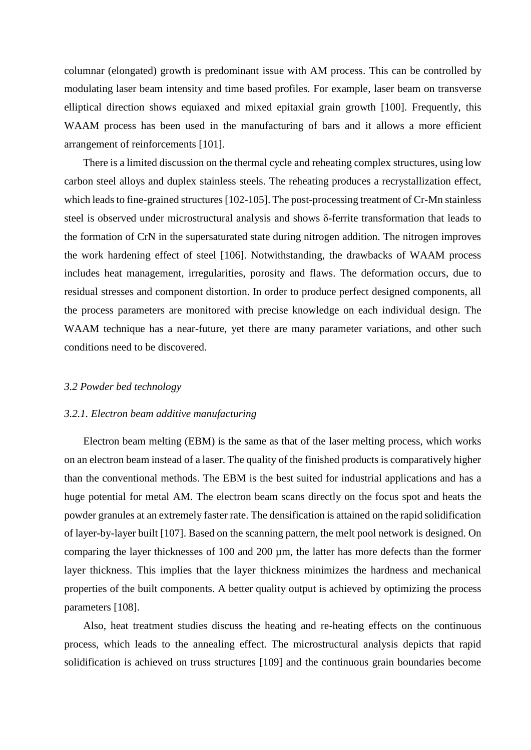columnar (elongated) growth is predominant issue with AM process. This can be controlled by modulating laser beam intensity and time based profiles. For example, laser beam on transverse elliptical direction shows equiaxed and mixed epitaxial grain growth [100]. Frequently, this WAAM process has been used in the manufacturing of bars and it allows a more efficient arrangement of reinforcements [101].

There is a limited discussion on the thermal cycle and reheating complex structures, using low carbon steel alloys and duplex stainless steels. The reheating produces a recrystallization effect, which leads to fine-grained structures [102-105]. The post-processing treatment of Cr-Mn stainless steel is observed under microstructural analysis and shows δ-ferrite transformation that leads to the formation of CrN in the supersaturated state during nitrogen addition. The nitrogen improves the work hardening effect of steel [106]. Notwithstanding, the drawbacks of WAAM process includes heat management, irregularities, porosity and flaws. The deformation occurs, due to residual stresses and component distortion. In order to produce perfect designed components, all the process parameters are monitored with precise knowledge on each individual design. The WAAM technique has a near-future, yet there are many parameter variations, and other such conditions need to be discovered.

### *3.2 Powder bed technology*

#### *3.2.1. Electron beam additive manufacturing*

Electron beam melting (EBM) is the same as that of the laser melting process, which works on an electron beam instead of a laser. The quality of the finished products is comparatively higher than the conventional methods. The EBM is the best suited for industrial applications and has a huge potential for metal AM. The electron beam scans directly on the focus spot and heats the powder granules at an extremely faster rate. The densification is attained on the rapid solidification of layer-by-layer built [107]. Based on the scanning pattern, the melt pool network is designed. On comparing the layer thicknesses of 100 and 200 µm, the latter has more defects than the former layer thickness. This implies that the layer thickness minimizes the hardness and mechanical properties of the built components. A better quality output is achieved by optimizing the process parameters [108].

Also, heat treatment studies discuss the heating and re-heating effects on the continuous process, which leads to the annealing effect. The microstructural analysis depicts that rapid solidification is achieved on truss structures [109] and the continuous grain boundaries become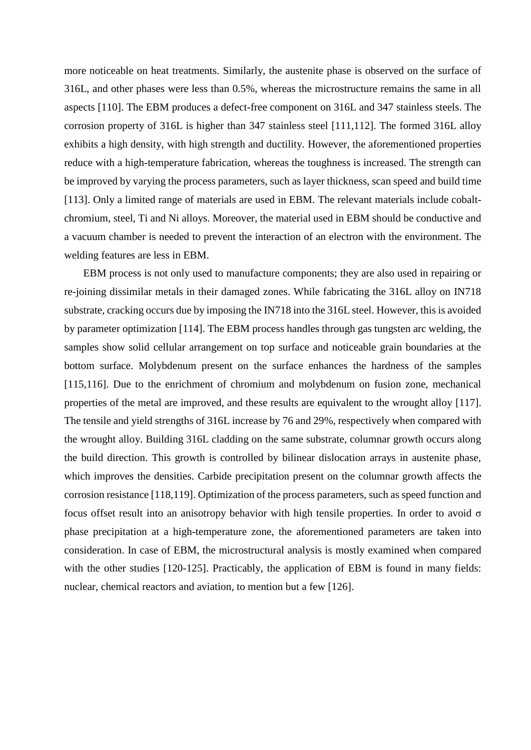more noticeable on heat treatments. Similarly, the austenite phase is observed on the surface of 316L, and other phases were less than 0.5%, whereas the microstructure remains the same in all aspects [110]. The EBM produces a defect-free component on 316L and 347 stainless steels. The corrosion property of 316L is higher than 347 stainless steel [111,112]. The formed 316L alloy exhibits a high density, with high strength and ductility. However, the aforementioned properties reduce with a high-temperature fabrication, whereas the toughness is increased. The strength can be improved by varying the process parameters, such as layer thickness, scan speed and build time [113]. Only a limited range of materials are used in EBM. The relevant materials include cobaltchromium, steel, Ti and Ni alloys. Moreover, the material used in EBM should be conductive and a vacuum chamber is needed to prevent the interaction of an electron with the environment. The welding features are less in EBM.

EBM process is not only used to manufacture components; they are also used in repairing or re-joining dissimilar metals in their damaged zones. While fabricating the 316L alloy on IN718 substrate, cracking occurs due by imposing the IN718 into the 316L steel. However, this is avoided by parameter optimization [114]. The EBM process handles through gas tungsten arc welding, the samples show solid cellular arrangement on top surface and noticeable grain boundaries at the bottom surface. Molybdenum present on the surface enhances the hardness of the samples [115,116]. Due to the enrichment of chromium and molybdenum on fusion zone, mechanical properties of the metal are improved, and these results are equivalent to the wrought alloy [117]. The tensile and yield strengths of 316L increase by 76 and 29%, respectively when compared with the wrought alloy. Building 316L cladding on the same substrate, columnar growth occurs along the build direction. This growth is controlled by bilinear dislocation arrays in austenite phase, which improves the densities. Carbide precipitation present on the columnar growth affects the corrosion resistance [118,119]. Optimization of the process parameters, such as speed function and focus offset result into an anisotropy behavior with high tensile properties. In order to avoid σ phase precipitation at a high-temperature zone, the aforementioned parameters are taken into consideration. In case of EBM, the microstructural analysis is mostly examined when compared with the other studies [120-125]. Practicably, the application of EBM is found in many fields: nuclear, chemical reactors and aviation, to mention but a few [126].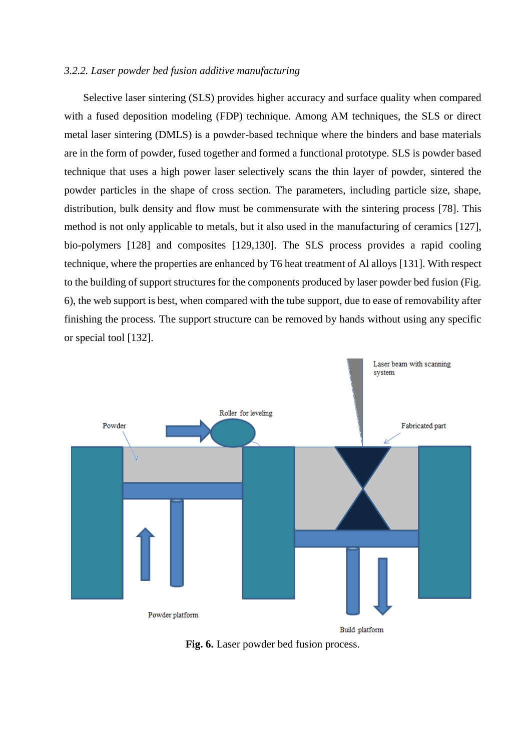### *3.2.2. Laser powder bed fusion additive manufacturing*

Selective laser sintering (SLS) provides higher accuracy and surface quality when compared with a fused deposition modeling (FDP) technique. Among AM techniques, the SLS or direct metal laser sintering (DMLS) is a powder-based technique where the binders and base materials are in the form of powder, fused together and formed a functional prototype. SLS is powder based technique that uses a high power laser selectively scans the thin layer of powder, sintered the powder particles in the shape of cross section. The parameters, including particle size, shape, distribution, bulk density and flow must be commensurate with the sintering process [78]. This method is not only applicable to metals, but it also used in the manufacturing of ceramics [127], bio-polymers [128] and composites [129,130]. The SLS process provides a rapid cooling technique, where the properties are enhanced by T6 heat treatment of Al alloys [131]. With respect to the building of support structures for the components produced by laser powder bed fusion (Fig. 6), the web support is best, when compared with the tube support, due to ease of removability after finishing the process. The support structure can be removed by hands without using any specific or special tool [132].



**Fig. 6.** Laser powder bed fusion process.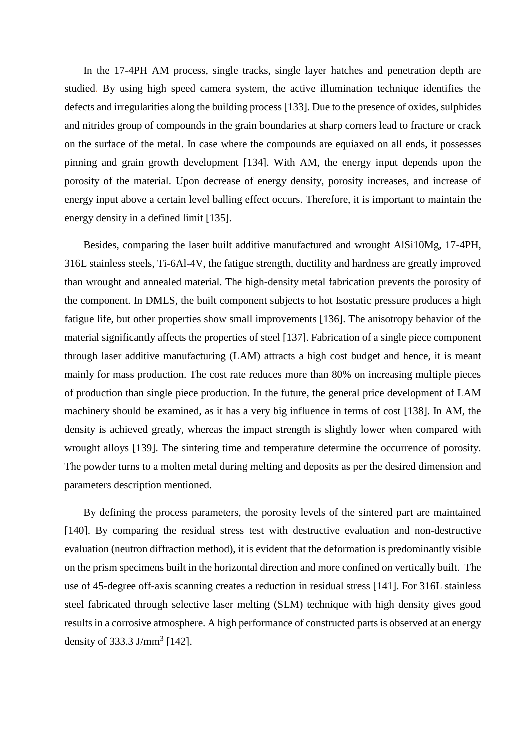In the 17-4PH AM process, single tracks, single layer hatches and penetration depth are studied. By using high speed camera system, the active illumination technique identifies the defects and irregularities along the building process [133]. Due to the presence of oxides, sulphides and nitrides group of compounds in the grain boundaries at sharp corners lead to fracture or crack on the surface of the metal. In case where the compounds are equiaxed on all ends, it possesses pinning and grain growth development [134]. With AM, the energy input depends upon the porosity of the material. Upon decrease of energy density, porosity increases, and increase of energy input above a certain level balling effect occurs. Therefore, it is important to maintain the energy density in a defined limit [135].

Besides, comparing the laser built additive manufactured and wrought AlSi10Mg, 17-4PH, 316L stainless steels, Ti-6Al-4V, the fatigue strength, ductility and hardness are greatly improved than wrought and annealed material. The high-density metal fabrication prevents the porosity of the component. In DMLS, the built component subjects to hot Isostatic pressure produces a high fatigue life, but other properties show small improvements [136]. The anisotropy behavior of the material significantly affects the properties of steel [137]. Fabrication of a single piece component through laser additive manufacturing (LAM) attracts a high cost budget and hence, it is meant mainly for mass production. The cost rate reduces more than 80% on increasing multiple pieces of production than single piece production. In the future, the general price development of LAM machinery should be examined, as it has a very big influence in terms of cost [138]. In AM, the density is achieved greatly, whereas the impact strength is slightly lower when compared with wrought alloys [139]. The sintering time and temperature determine the occurrence of porosity. The powder turns to a molten metal during melting and deposits as per the desired dimension and parameters description mentioned.

By defining the process parameters, the porosity levels of the sintered part are maintained [140]. By comparing the residual stress test with destructive evaluation and non-destructive evaluation (neutron diffraction method), it is evident that the deformation is predominantly visible on the prism specimens built in the horizontal direction and more confined on vertically built. The use of 45-degree off-axis scanning creates a reduction in residual stress [141]. For 316L stainless steel fabricated through selective laser melting (SLM) technique with high density gives good results in a corrosive atmosphere. A high performance of constructed parts is observed at an energy density of 333.3 J/mm<sup>3</sup> [142].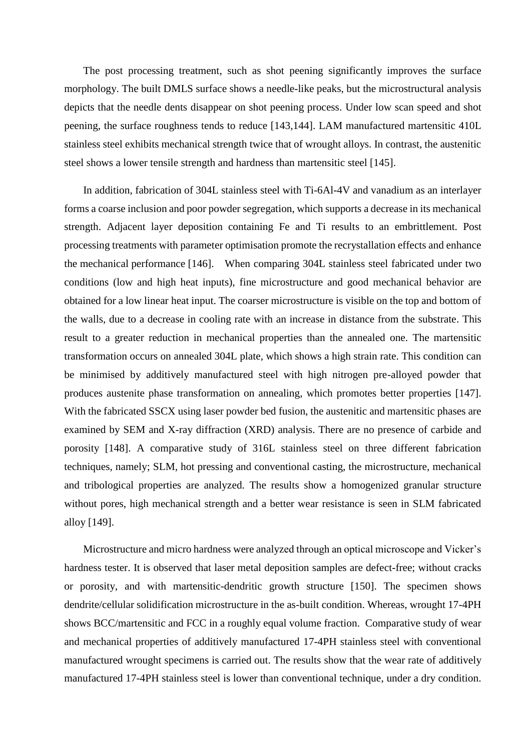The post processing treatment, such as shot peening significantly improves the surface morphology. The built DMLS surface shows a needle-like peaks, but the microstructural analysis depicts that the needle dents disappear on shot peening process. Under low scan speed and shot peening, the surface roughness tends to reduce [143,144]. LAM manufactured martensitic 410L stainless steel exhibits mechanical strength twice that of wrought alloys. In contrast, the austenitic steel shows a lower tensile strength and hardness than martensitic steel [145].

In addition, fabrication of 304L stainless steel with Ti-6Al-4V and vanadium as an interlayer forms a coarse inclusion and poor powder segregation, which supports a decrease in its mechanical strength. Adjacent layer deposition containing Fe and Ti results to an embrittlement. Post processing treatments with parameter optimisation promote the recrystallation effects and enhance the mechanical performance [146]. When comparing 304L stainless steel fabricated under two conditions (low and high heat inputs), fine microstructure and good mechanical behavior are obtained for a low linear heat input. The coarser microstructure is visible on the top and bottom of the walls, due to a decrease in cooling rate with an increase in distance from the substrate. This result to a greater reduction in mechanical properties than the annealed one. The martensitic transformation occurs on annealed 304L plate, which shows a high strain rate. This condition can be minimised by additively manufactured steel with high nitrogen pre-alloyed powder that produces austenite phase transformation on annealing, which promotes better properties [147]. With the fabricated SSCX using laser powder bed fusion, the austenitic and martensitic phases are examined by SEM and X-ray diffraction (XRD) analysis. There are no presence of carbide and porosity [148]. A comparative study of 316L stainless steel on three different fabrication techniques, namely; SLM, hot pressing and conventional casting, the microstructure, mechanical and tribological properties are analyzed. The results show a homogenized granular structure without pores, high mechanical strength and a better wear resistance is seen in SLM fabricated alloy [149].

Microstructure and micro hardness were analyzed through an optical microscope and Vicker's hardness tester. It is observed that laser metal deposition samples are defect-free; without cracks or porosity, and with martensitic-dendritic growth structure [150]. The specimen shows dendrite/cellular solidification microstructure in the as-built condition. Whereas, wrought 17-4PH shows BCC/martensitic and FCC in a roughly equal volume fraction. Comparative study of wear and mechanical properties of additively manufactured 17-4PH stainless steel with conventional manufactured wrought specimens is carried out. The results show that the wear rate of additively manufactured 17-4PH stainless steel is lower than conventional technique, under a dry condition.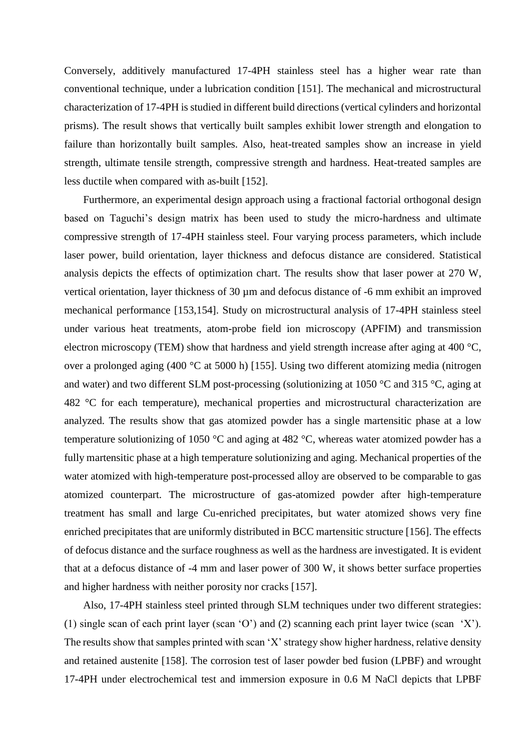Conversely, additively manufactured 17-4PH stainless steel has a higher wear rate than conventional technique, under a lubrication condition [151]. The mechanical and microstructural characterization of 17-4PH is studied in different build directions (vertical cylinders and horizontal prisms). The result shows that vertically built samples exhibit lower strength and elongation to failure than horizontally built samples. Also, heat-treated samples show an increase in yield strength, ultimate tensile strength, compressive strength and hardness. Heat-treated samples are less ductile when compared with as-built [152].

Furthermore, an experimental design approach using a fractional factorial orthogonal design based on Taguchi's design matrix has been used to study the micro-hardness and ultimate compressive strength of 17-4PH stainless steel. Four varying process parameters, which include laser power, build orientation, layer thickness and defocus distance are considered. Statistical analysis depicts the effects of optimization chart. The results show that laser power at 270 W, vertical orientation, layer thickness of 30 µm and defocus distance of -6 mm exhibit an improved mechanical performance [153,154]. Study on microstructural analysis of 17-4PH stainless steel under various heat treatments, atom-probe field ion microscopy (APFIM) and transmission electron microscopy (TEM) show that hardness and yield strength increase after aging at 400 °C, over a prolonged aging (400 °C at 5000 h) [155]. Using two different atomizing media (nitrogen and water) and two different SLM post-processing (solutionizing at 1050 °C and 315 °C, aging at 482 °C for each temperature), mechanical properties and microstructural characterization are analyzed. The results show that gas atomized powder has a single martensitic phase at a low temperature solutionizing of 1050 °C and aging at 482 °C, whereas water atomized powder has a fully martensitic phase at a high temperature solutionizing and aging. Mechanical properties of the water atomized with high-temperature post-processed alloy are observed to be comparable to gas atomized counterpart. The microstructure of gas-atomized powder after high-temperature treatment has small and large Cu-enriched precipitates, but water atomized shows very fine enriched precipitates that are uniformly distributed in BCC martensitic structure [156]. The effects of defocus distance and the surface roughness as well as the hardness are investigated. It is evident that at a defocus distance of -4 mm and laser power of 300 W, it shows better surface properties and higher hardness with neither porosity nor cracks [157].

Also, 17-4PH stainless steel printed through SLM techniques under two different strategies: (1) single scan of each print layer (scan 'O') and (2) scanning each print layer twice (scan 'X'). The results show that samples printed with scan 'X' strategy show higher hardness, relative density and retained austenite [158]. The corrosion test of laser powder bed fusion (LPBF) and wrought 17-4PH under electrochemical test and immersion exposure in 0.6 M NaCl depicts that LPBF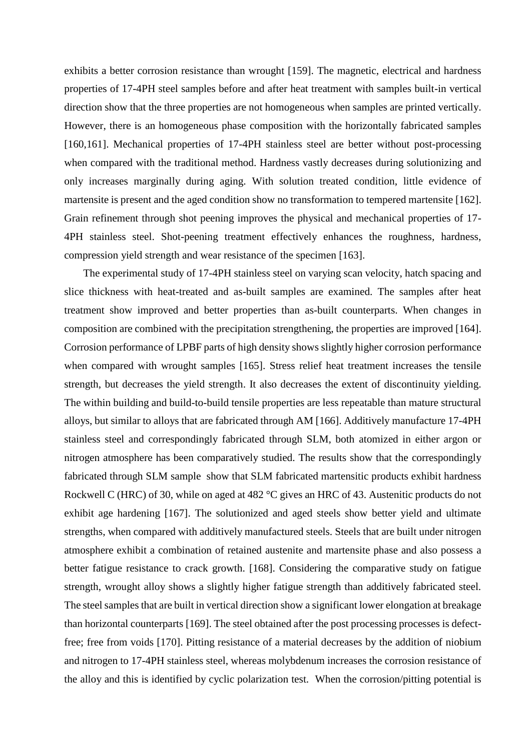exhibits a better corrosion resistance than wrought [159]. The magnetic, electrical and hardness properties of 17-4PH steel samples before and after heat treatment with samples built-in vertical direction show that the three properties are not homogeneous when samples are printed vertically. However, there is an homogeneous phase composition with the horizontally fabricated samples [160,161]. Mechanical properties of 17-4PH stainless steel are better without post-processing when compared with the traditional method. Hardness vastly decreases during solutionizing and only increases marginally during aging. With solution treated condition, little evidence of martensite is present and the aged condition show no transformation to tempered martensite [162]. Grain refinement through shot peening improves the physical and mechanical properties of 17- 4PH stainless steel. Shot-peening treatment effectively enhances the roughness, hardness, compression yield strength and wear resistance of the specimen [163].

The experimental study of 17-4PH stainless steel on varying scan velocity, hatch spacing and slice thickness with heat-treated and as-built samples are examined. The samples after heat treatment show improved and better properties than as-built counterparts. When changes in composition are combined with the precipitation strengthening, the properties are improved [164]. Corrosion performance of LPBF parts of high density shows slightly higher corrosion performance when compared with wrought samples [165]. Stress relief heat treatment increases the tensile strength, but decreases the yield strength. It also decreases the extent of discontinuity yielding. The within building and build-to-build tensile properties are less repeatable than mature structural alloys, but similar to alloys that are fabricated through AM [166]. Additively manufacture 17-4PH stainless steel and correspondingly fabricated through SLM, both atomized in either argon or nitrogen atmosphere has been comparatively studied. The results show that the correspondingly fabricated through SLM sample show that SLM fabricated martensitic products exhibit hardness Rockwell C (HRC) of 30, while on aged at 482 °C gives an HRC of 43. Austenitic products do not exhibit age hardening [167]. The solutionized and aged steels show better yield and ultimate strengths, when compared with additively manufactured steels. Steels that are built under nitrogen atmosphere exhibit a combination of retained austenite and martensite phase and also possess a better fatigue resistance to crack growth. [168]. Considering the comparative study on fatigue strength, wrought alloy shows a slightly higher fatigue strength than additively fabricated steel. The steel samples that are built in vertical direction show a significant lower elongation at breakage than horizontal counterparts [169]. The steel obtained after the post processing processes is defectfree; free from voids [170]. Pitting resistance of a material decreases by the addition of niobium and nitrogen to 17-4PH stainless steel, whereas molybdenum increases the corrosion resistance of the alloy and this is identified by cyclic polarization test. When the corrosion/pitting potential is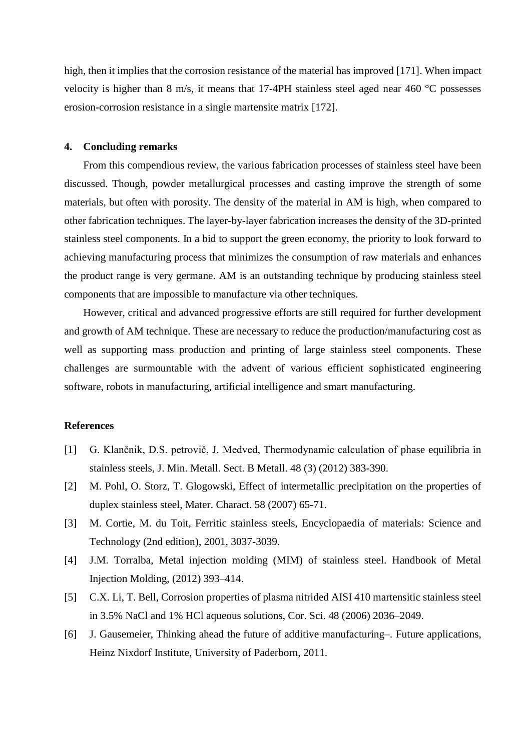high, then it implies that the corrosion resistance of the material has [improved](mailto:improved.@29) [171]. When impact velocity is higher than 8 m/s, it means that 17-4PH stainless steel aged near 460 °C possesses erosion-corrosion resistance in a single martensite matrix [172].

### **4. Concluding remarks**

From this compendious review, the various fabrication processes of stainless steel have been discussed. Though, powder metallurgical processes and casting improve the strength of some materials, but often with porosity. The density of the material in AM is high, when compared to other fabrication techniques. The layer-by-layer fabrication increases the density of the 3D-printed stainless steel components. In a bid to support the green economy, the priority to look forward to achieving manufacturing process that minimizes the consumption of raw materials and enhances the product range is very germane. AM is an outstanding technique by producing stainless steel components that are impossible to manufacture via other techniques.

However, critical and advanced progressive efforts are still required for further development and growth of AM technique. These are necessary to reduce the production/manufacturing cost as well as supporting mass production and printing of large stainless steel components. These challenges are surmountable with the advent of various efficient sophisticated engineering software, robots in manufacturing, artificial intelligence and smart manufacturing.

# **References**

- [1] G. Klančnik, D.S. petrovič, J. Medved, Thermodynamic calculation of phase equilibria in stainless steels, J. Min. Metall. Sect. B Metall. 48 (3) (2012) 383-390.
- [2] M. Pohl, O. Storz, T. Glogowski, Effect of intermetallic precipitation on the properties of duplex stainless steel, Mater. Charact. 58 (2007) 65-71.
- [3] M. Cortie, M. du Toit, Ferritic stainless steels, Encyclopaedia of materials: Science and Technology (2nd edition), 2001, 3037-3039.
- [4] J.M. Torralba, Metal injection molding (MIM) of stainless steel. Handbook of Metal Injection Molding, (2012) 393–414.
- [5] C.X. Li, T. Bell, Corrosion properties of plasma nitrided AISI 410 martensitic stainless steel in 3.5% NaCl and 1% HCl aqueous solutions, Cor. Sci. 48 (2006) 2036–2049.
- [6] J. Gausemeier, Thinking ahead the future of additive manufacturing–. Future applications, Heinz Nixdorf Institute, University of Paderborn, 2011.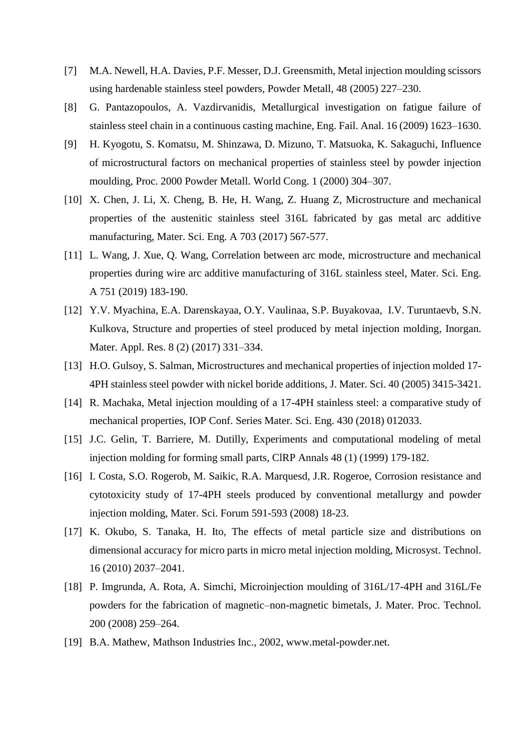- [7] M.A. Newell, H.A. Davies, P.F. Messer, D.J. Greensmith, Metal injection moulding scissors using hardenable stainless steel powders, Powder Metall, 48 (2005) 227–230.
- [8] G. Pantazopoulos, A. Vazdirvanidis, Metallurgical investigation on fatigue failure of stainless steel chain in a continuous casting machine, Eng. Fail. Anal. 16 (2009) 1623–1630.
- [9] H. Kyogotu, S. Komatsu, M. Shinzawa, D. Mizuno, T. Matsuoka, K. Sakaguchi, Influence of microstructural factors on mechanical properties of stainless steel by powder injection moulding, Proc. 2000 Powder Metall. World Cong. 1 (2000) 304–307.
- [10] X. Chen, J. Li, X. Cheng, B. He, H. Wang, Z. Huang Z, Microstructure and mechanical properties of the austenitic stainless steel 316L fabricated by gas metal arc additive manufacturing, Mater. Sci. Eng. A 703 (2017) 567-577.
- [11] L. Wang, J. Xue, Q. Wang, Correlation between arc mode, microstructure and mechanical properties during wire arc additive manufacturing of 316L stainless steel, Mater. Sci. Eng. A 751 (2019) 183-190.
- [12] Y.V. Myachina, E.A. Darenskayaa, O.Y. Vaulinaa, S.P. Buyakovaa, I.V. Turuntaevb, S.N. Kulkova, Structure and properties of steel produced by metal injection molding, Inorgan. Mater. Appl. Res. 8 (2) (2017) 331–334.
- [13] H.O. Gulsoy, S. Salman, Microstructures and mechanical properties of injection molded 17-4PH stainless steel powder with nickel boride additions, J. Mater. Sci. 40 (2005) 3415-3421.
- [14] R. Machaka, Metal injection moulding of a 17-4PH stainless steel: a comparative study of mechanical properties, IOP Conf. Series Mater. Sci. Eng. 430 (2018) 012033.
- [15] J.C. Gelin, T. Barriere, M. Dutilly, Experiments and computational modeling of metal injection molding for forming small parts, ClRP Annals 48 (1) (1999) 179-182.
- [16] I. Costa, S.O. Rogerob, M. Saikic, R.A. Marquesd, J.R. Rogeroe, Corrosion resistance and cytotoxicity study of 17-4PH steels produced by conventional metallurgy and powder injection molding, Mater. Sci. Forum 591-593 (2008) 18-23.
- [17] K. Okubo, S. Tanaka, H. Ito, The effects of metal particle size and distributions on dimensional accuracy for micro parts in micro metal injection molding, Microsyst. Technol. 16 (2010) 2037–2041.
- [18] P. Imgrunda, A. Rota, A. Simchi, Microinjection moulding of 316L/17-4PH and 316L/Fe powders for the fabrication of magnetic–non-magnetic bimetals, J. Mater. Proc. Technol. 200 (2008) 259–264.
- [19] B.A. Mathew, Mathson Industries Inc., 2002, www.metal-powder.net.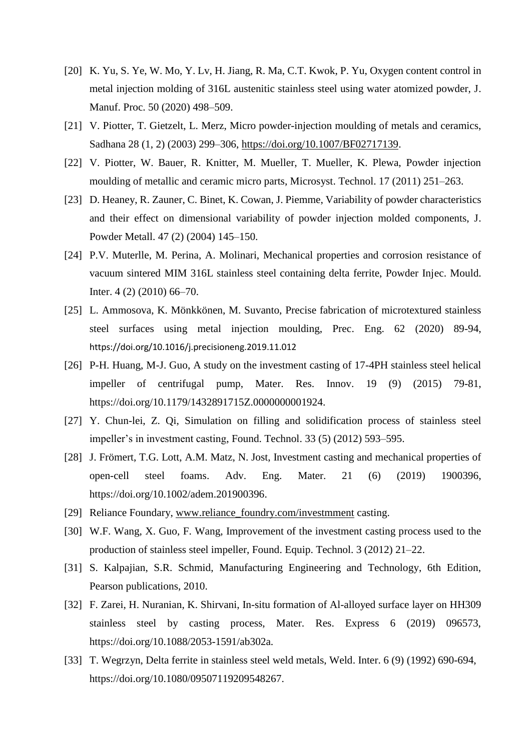- [20] K. Yu, S. Ye, W. Mo, Y. Lv, H. Jiang, R. Ma, C.T. Kwok, P. Yu, Oxygen content control in metal injection molding of 316L austenitic stainless steel using water atomized powder, J. Manuf. Proc. 50 (2020) 498–509.
- [21] V. Piotter, T. Gietzelt, L. Merz, Micro powder-injection moulding of metals and ceramics, Sadhana 28 (1, 2) (2003) 299–306, [https://doi.org/10.1007/BF02717139.](https://doi.org/10.1007/BF02717139)
- [22] V. Piotter, W. Bauer, R. Knitter, M. Mueller, T. Mueller, K. Plewa, Powder injection moulding of metallic and ceramic micro parts, Microsyst. Technol. 17 (2011) 251–263.
- [23] D. Heaney, R. Zauner, C. Binet, K. Cowan, J. Piemme, Variability of powder characteristics and their effect on dimensional variability of powder injection molded components, J. Powder Metall. 47 (2) (2004) 145–150.
- [24] P.V. Muterlle, M. Perina, A. Molinari, Mechanical properties and corrosion resistance of vacuum sintered MIM 316L stainless steel containing delta ferrite, Powder Injec. Mould. Inter. 4 (2) (2010) 66–70.
- [25] L. Ammosova, K. Mönkkönen, M. Suvanto, Precise fabrication of microtextured stainless steel surfaces using metal injection moulding, Prec. Eng. 62 (2020) 89-94, <https://doi.org/10.1016/j.precisioneng.2019.11.012>
- [26] P-H. Huang, M-J. Guo, A study on the investment casting of 17-4PH stainless steel helical impeller of centrifugal pump, Mater. Res. Innov. 19 (9) (2015) 79-81, [https://doi.org/10.1179/1432891715Z.0000000001924.](https://doi.org/10.1179/1432891715Z.0000000001924)
- [27] Y. Chun-lei, Z. Qi, Simulation on filling and solidification process of stainless steel impeller's in investment casting, Found. Technol. 33 (5) (2012) 593–595.
- [28] J. Frömert, T.G. Lott, A.M. Matz, N. Jost, Investment casting and mechanical properties of open-cell steel foams. Adv. Eng. Mater. 21 (6) (2019) 1900396, [https://doi.org/10.1002/adem.201900396.](https://doi.org/10.1002/adem.201900396)
- [29] Reliance Foundary, [www.reliance\\_foundry.com/investmment](http://www.reliance_foundry.com/investmment) casting.
- [30] W.F. Wang, X. Guo, F. Wang, Improvement of the investment casting process used to the production of stainless steel impeller, Found. Equip. Technol. 3 (2012) 21–22.
- [31] S. Kalpajian, S.R. Schmid, Manufacturing Engineering and Technology, 6th Edition, Pearson publications, 2010.
- [32] F. Zarei, H. Nuranian, K. Shirvani, In-situ formation of Al-alloyed surface layer on HH309 stainless steel by casting process, Mater. Res. Express 6 (2019) 096573, [https://doi.org/10.1088/2053-1591/ab302a.](https://doi.org/10.1088/2053-1591/ab302a)
- [33] T. Wegrzyn, Delta ferrite in stainless steel weld metals, Weld. Inter. 6 (9) (1992) 690-694, [https://doi.org/10.1080/09507119209548267.](https://doi.org/10.1080/09507119209548267)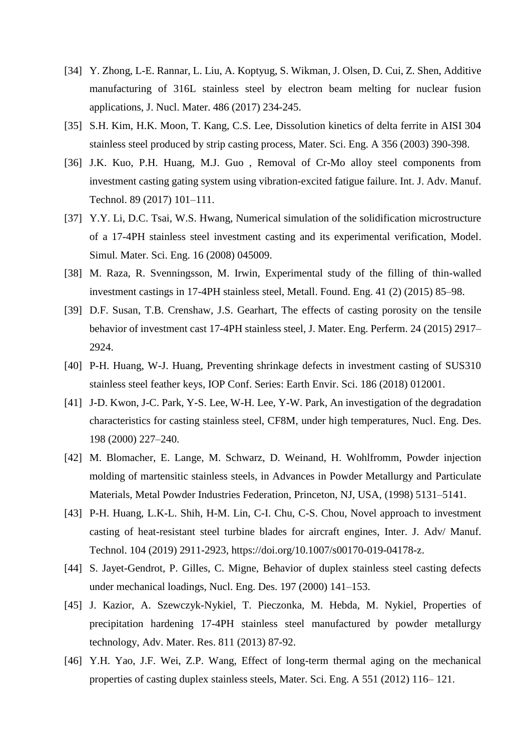- [34] Y. Zhong, L-E. Rannar, L. Liu, A. Koptyug, S. Wikman, J. Olsen, D. Cui, Z. Shen, Additive manufacturing of 316L stainless steel by electron beam melting for nuclear fusion applications, J. Nucl. Mater. 486 (2017) 234-245.
- [35] S.H. Kim, H.K. Moon, T. Kang, C.S. Lee, Dissolution kinetics of delta ferrite in AISI 304 stainless steel produced by strip casting process, Mater. Sci. Eng. A 356 (2003) 390-398.
- [36] J.K. Kuo, P.H. Huang, M.J. Guo, Removal of Cr-Mo alloy steel components from investment casting gating system using vibration-excited fatigue failure. Int. J. Adv. Manuf. Technol. 89 (2017) 101–111.
- [37] Y.Y. Li, D.C. Tsai, W.S. Hwang, Numerical simulation of the solidification microstructure of a 17-4PH stainless steel investment casting and its experimental verification, Model. Simul. Mater. Sci. Eng. 16 (2008) 045009.
- [38] M. Raza, R. Svenningsson, M. Irwin, Experimental study of the filling of thin-walled investment castings in 17-4PH stainless steel, Metall. Found. Eng. 41 (2) (2015) 85–98.
- [39] D.F. Susan, T.B. Crenshaw, J.S. Gearhart, The effects of casting porosity on the tensile behavior of investment cast 17-4PH stainless steel, J. Mater. Eng. Perferm. 24 (2015) 2917– 2924.
- [40] P-H. Huang, W-J. Huang, Preventing shrinkage defects in investment casting of SUS310 stainless steel feather keys, IOP Conf. Series: Earth Envir. Sci. 186 (2018) 012001.
- [41] J-D. Kwon, J-C. Park, Y-S. Lee, W-H. Lee, Y-W. Park, An investigation of the degradation characteristics for casting stainless steel, CF8M, under high temperatures, Nucl. Eng. Des. 198 (2000) 227–240.
- [42] M. Blomacher, E. Lange, M. Schwarz, D. Weinand, H. Wohlfromm, Powder injection molding of martensitic stainless steels, in Advances in Powder Metallurgy and Particulate Materials, Metal Powder Industries Federation, Princeton, NJ, USA, (1998) 5131–5141.
- [43] P-H. Huang, L.K-L. Shih, H-M. Lin, C-I. Chu, C-S. Chou, Novel approach to investment casting of heat-resistant steel turbine blades for aircraft engines, Inter. J. Adv/ Manuf. Technol. 104 (2019) 2911-2923, [https://doi.org/10.1007/s00170-019-04178-z.](https://doi.org/10.1007/s00170-019-04178-z)
- [44] S. Jayet-Gendrot, P. Gilles, C. Migne, Behavior of duplex stainless steel casting defects under mechanical loadings, Nucl. Eng. Des. 197 (2000) 141–153.
- [45] J. Kazior, A. Szewczyk-Nykiel, T. Pieczonka, M. Hebda, M. Nykiel, Properties of precipitation hardening 17-4PH stainless steel manufactured by powder metallurgy technology, Adv. Mater. Res. 811 (2013) 87-92.
- [46] Y.H. Yao, J.F. Wei, Z.P. Wang, Effect of long-term thermal aging on the mechanical properties of casting duplex stainless steels, Mater. Sci. Eng. A 551 (2012) 116– 121.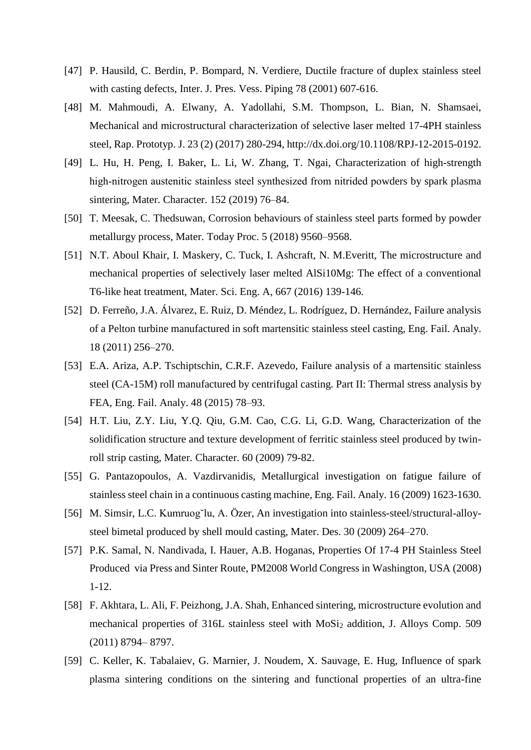- [47] P. Hausild, C. Berdin, P. Bompard, N. Verdiere, Ductile fracture of duplex stainless steel with casting defects, Inter. J. Pres. Vess. Piping 78 (2001) 607-616.
- [48] M. Mahmoudi, A. Elwany, A. Yadollahi, S.M. Thompson, L. Bian, N. Shamsaei, Mechanical and microstructural characterization of selective laser melted 17-4PH stainless steel, Rap. Prototyp. J. 23 (2) (2017) 280-294, [http://dx.doi.org/10.1108/RPJ-12-2015-0192.](http://dx.doi.org/10.1108/RPJ-12-2015-0192)
- [49] L. Hu, H. Peng, I. Baker, L. Li, W. Zhang, T. Ngai, Characterization of high-strength high-nitrogen austenitic stainless steel synthesized from nitrided powders by spark plasma sintering, Mater. Character. 152 (2019) 76–84.
- [50] T. Meesak, C. Thedsuwan, Corrosion behaviours of stainless steel parts formed by powder metallurgy process, Mater. Today Proc. 5 (2018) 9560–9568.
- [51] N.T. Aboul Khair, I. Maskery, C. Tuck, I. Ashcraft, N. M. Everitt, The microstructure and mechanical properties of selectively laser melted AlSi10Mg: The effect of a conventional T6-like heat treatment, Mater. Sci. Eng. A, 667 (2016) 139-146.
- [52] D. Ferreño, J.A. Álvarez, E. Ruiz, D. Méndez, L. Rodríguez, D. Hernández, Failure analysis of a Pelton turbine manufactured in soft martensitic stainless steel casting, Eng. Fail. Analy. 18 (2011) 256–270.
- [53] E.A. Ariza, A.P. Tschiptschin, C.R.F. Azevedo, Failure analysis of a martensitic stainless steel (CA-15M) roll manufactured by centrifugal casting. Part II: Thermal stress analysis by FEA, Eng. Fail. Analy. 48 (2015) 78–93.
- [54] H.T. Liu, Z.Y. Liu, Y.Q. Qiu, G.M. Cao, C.G. Li, G.D. Wang, Characterization of the solidification structure and texture development of ferritic stainless steel produced by twinroll strip casting, Mater. Character. 60 (2009) 79-82.
- [55] G. Pantazopoulos, A. Vazdirvanidis, Metallurgical investigation on fatigue failure of stainless steel chain in a continuous casting machine, Eng. Fail. Analy. 16 (2009) 1623-1630.
- [56] M. Simsir, L.C. Kumruog˘lu, A. Özer, An investigation into stainless-steel/structural-alloysteel bimetal produced by shell mould casting, Mater. Des. 30 (2009) 264–270.
- [57] P.K. Samal, N. Nandivada, I. Hauer, A.B. Hoganas, Properties Of 17-4 PH Stainless Steel Produced via Press and Sinter Route, PM2008 World Congress in Washington, USA (2008) 1-12.
- [58] F. Akhtara, L. Ali, F. Peizhong, J.A. Shah, Enhanced sintering, microstructure evolution and mechanical properties of 316L stainless steel with MoSi<sup>2</sup> addition, J. Alloys Comp. 509 (2011) 8794– 8797.
- [59] C. Keller, K. Tabalaiev, G. Marnier, J. Noudem, X. Sauvage, E. Hug, Influence of spark plasma sintering conditions on the sintering and functional properties of an ultra-fine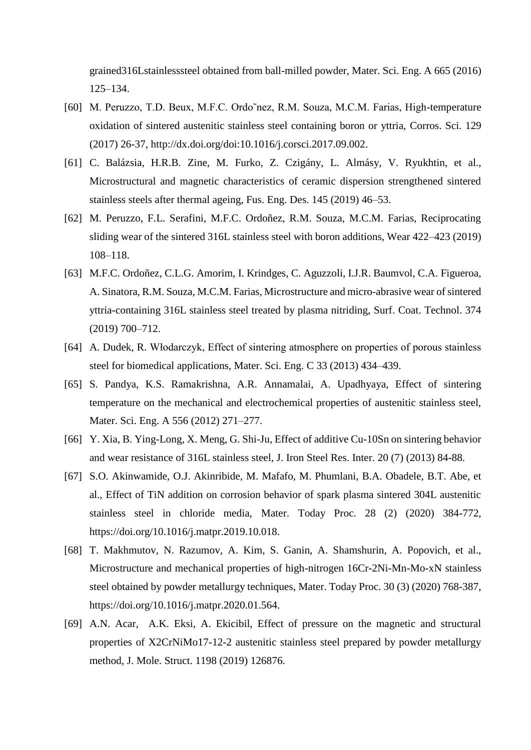grained316Lstainlesssteel obtained from ball-milled powder, Mater. Sci. Eng. A 665 (2016) 125–134.

- [60] M. Peruzzo, T.D. Beux, M.F.C. Ordo˜nez, R.M. Souza, M.C.M. Farias, High-temperature oxidation of sintered austenitic stainless steel containing boron or yttria, Corros. Sci. 129 (2017) 26-37, http://dx.doi.org/doi:10.1016/j.corsci.2017.09.002.
- [61] C. Balázsia, H.R.B. Zine, M. Furko, Z. Czigány, L. Almásy, V. Ryukhtin, et al., Microstructural and magnetic characteristics of ceramic dispersion strengthened sintered stainless steels after thermal ageing, Fus. Eng. Des. 145 (2019) 46–53.
- [62] M. Peruzzo, F.L. Serafini, M.F.C. Ordoñez, R.M. Souza, M.C.M. Farias, Reciprocating sliding wear of the sintered 316L stainless steel with boron additions, Wear 422–423 (2019) 108–118.
- [63] M.F.C. Ordoñez, C.L.G. Amorim, I. Krindges, C. Aguzzoli, I.J.R. Baumvol, C.A. Figueroa, A. Sinatora, R.M. Souza, M.C.M. Farias, Microstructure and micro-abrasive wear of sintered yttria-containing 316L stainless steel treated by plasma nitriding, Surf. Coat. Technol. 374 (2019) 700–712.
- [64] A. Dudek, R. Włodarczyk, Effect of sintering atmosphere on properties of porous stainless steel for biomedical applications, Mater. Sci. Eng. C 33 (2013) 434–439.
- [65] S. Pandya, K.S. Ramakrishna, A.R. Annamalai, A. Upadhyaya, Effect of sintering temperature on the mechanical and electrochemical properties of austenitic stainless steel, Mater. Sci. Eng. A 556 (2012) 271–277.
- [66] Y. Xia, B. Ying-Long, X. Meng, G. Shi-Ju, Effect of additive Cu-10Sn on sintering behavior and wear resistance of 316L stainless steel, J. Iron Steel Res. Inter. 20 (7) (2013) 84-88.
- [67] S.O. Akinwamide, O.J. Akinribide, M. Mafafo, M. Phumlani, B.A. Obadele, B.T. Abe, et al., Effect of TiN addition on corrosion behavior of spark plasma sintered 304L austenitic stainless steel in chloride media, Mater. Today Proc. 28 (2) (2020) 384-772, https://doi.org/10.1016/j.matpr.2019.10.018.
- [68] T. Makhmutov, N. Razumov, A. Kim, S. Ganin, A. Shamshurin, A. Popovich, et al., Microstructure and mechanical properties of high-nitrogen 16Cr-2Ni-Mn-Mo-xN stainless steel obtained by powder metallurgy techniques, Mater. Today Proc. 30 (3) (2020) 768-387, https://doi.org/10.1016/j.matpr.2020.01.564.
- [69] A.N. Acar, A.K. Eksi, A. Ekicibil, Effect of pressure on the magnetic and structural properties of X2CrNiMo17-12-2 austenitic stainless steel prepared by powder metallurgy method, J. Mole. Struct. 1198 (2019) 126876.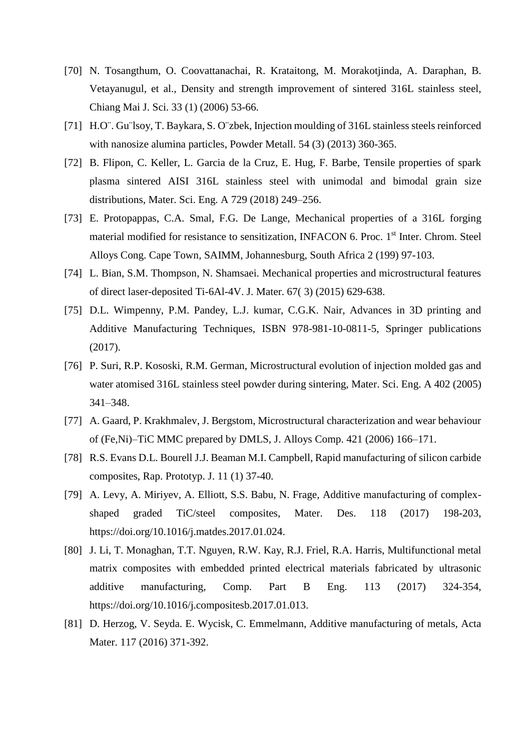- [70] N. Tosangthum, O. Coovattanachai, R. Krataitong, M. Morakotjinda, A. Daraphan, B. Vetayanugul, et al., Density and strength improvement of sintered 316L stainless steel, Chiang Mai J. Sci. 33 (1) (2006) 53-66.
- [71] H.O¨. Gu¨lsoy, T. Baykara, S. O¨zbek, Injection moulding of 316L stainless steels reinforced with nanosize alumina particles, Powder Metall. 54 (3) (2013) 360-365.
- [72] B. Flipon, C. Keller, L. Garcia de la Cruz, E. Hug, F. Barbe, Tensile properties of spark plasma sintered AISI 316L stainless steel with unimodal and bimodal grain size distributions, Mater. Sci. Eng. A 729 (2018) 249–256.
- [73] E. Protopappas, C.A. Smal, F.G. De Lange, Mechanical properties of a 316L forging material modified for resistance to sensitization, INFACON 6. Proc. 1<sup>st</sup> Inter. Chrom. Steel Alloys Cong. Cape Town, SAIMM, Johannesburg, South Africa 2 (199) 97-103.
- [74] L. Bian, S.M. Thompson, N. Shamsaei. Mechanical properties and microstructural features of direct laser-deposited Ti-6Al-4V. J. Mater. 67( 3) (2015) 629-638.
- [75] D.L. Wimpenny, P.M. Pandey, L.J. kumar, C.G.K. Nair, Advances in 3D printing and Additive Manufacturing Techniques, ISBN 978-981-10-0811-5, Springer publications (2017).
- [76] P. Suri, R.P. Kososki, R.M. German, Microstructural evolution of injection molded gas and water atomised 316L stainless steel powder during sintering, Mater. Sci. Eng. A 402 (2005) 341–348.
- [77] A. Gaard, P. Krakhmalev, J. Bergstom, Microstructural characterization and wear behaviour of (Fe,Ni)–TiC MMC prepared by DMLS, J. Alloys Comp. 421 (2006) 166–171.
- [78] R.S. Evans D.L. Bourell J.J. Beaman M.I. Campbell, Rapid manufacturing of silicon carbide composites, Rap. Prototyp. J. 11 (1) 37-40.
- [79] A. Levy, A. Miriyev, A. Elliott, S.S. Babu, N. Frage, Additive manufacturing of complexshaped graded TiC/steel composites, Mater. Des. 118 (2017) 198-203, [https://doi.org/10.1016/j.matdes.2017.01.024.](https://doi.org/10.1016/j.matdes.2017.01.024)
- [80] J. Li, T. Monaghan, T.T. Nguyen, R.W. Kay, R.J. Friel, R.A. Harris, Multifunctional metal matrix composites with embedded printed electrical materials fabricated by ultrasonic additive manufacturing, Comp. Part B Eng. 113 (2017) 324-354, [https://doi.org/10.1016/j.compositesb.2017.01.013.](https://doi.org/10.1016/j.compositesb.2017.01.013)
- [81] D. Herzog, V. Seyda. E. Wycisk, C. Emmelmann, Additive manufacturing of metals, Acta Mater. 117 (2016) 371-392.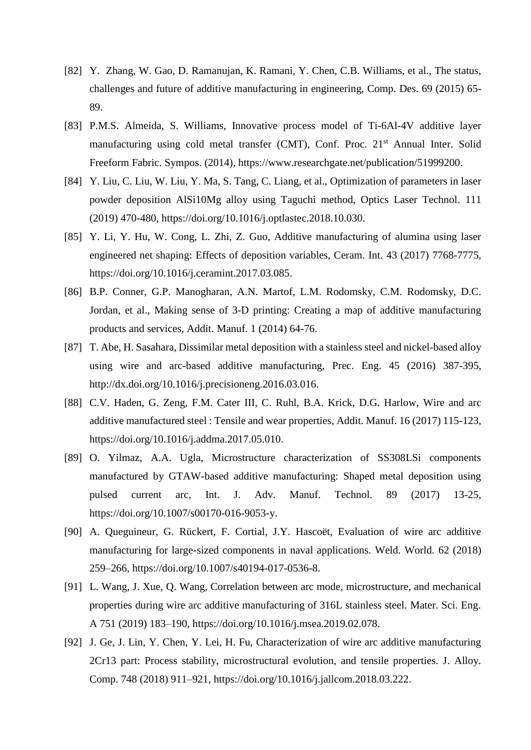- [82] Y. Zhang, W. Gao, D. Ramanujan, K. Ramani, Y. Chen, C.B. Williams, et al., The status, challenges and future of additive manufacturing in engineering, Comp. Des. 69 (2015) 65- 89.
- [83] P.M.S. Almeida, S. Williams, Innovative process model of Ti-6Al-4V additive layer manufacturing using cold metal transfer (CMT), Conf. Proc. 21<sup>st</sup> Annual Inter. Solid Freeform Fabric. Sympos. (2014), [https://www.researchgate.net/publication/51999200.](https://www.researchgate.net/publication/51999200)
- [84] Y. Liu, C. Liu, W. Liu, Y. Ma, S. Tang, C. Liang, et al., Optimization of parameters in laser powder deposition AlSi10Mg alloy using Taguchi method, Optics Laser Technol. 111 (2019) 470-480, [https://doi.org/10.1016/j.optlastec.2018.10.030.](https://doi.org/10.1016/j.optlastec.2018.10.030)
- [85] Y. Li, Y. Hu, W. Cong, L. Zhi, Z. Guo, Additive manufacturing of alumina using laser engineered net shaping: Effects of deposition variables, Ceram. Int. 43 (2017) 7768-7775, [https://doi.org/10.1016/j.ceramint.2017.03.085.](https://doi.org/10.1016/j.ceramint.2017.03.085)
- [86] B.P. Conner, G.P. Manogharan, A.N. Martof, L.M. Rodomsky, C.M. Rodomsky, D.C. Jordan, et al., Making sense of 3-D printing: Creating a map of additive manufacturing products and services, Addit. Manuf. 1 (2014) 64-76.
- [87] T. Abe, H. Sasahara, Dissimilar metal deposition with a stainless steel and nickel-based alloy using wire and arc-based additive manufacturing, Prec. Eng. 45 (2016) 387-395, http://dx.doi.org/10.1016/j.precisioneng.2016.03.016.
- [88] C.V. Haden, G. Zeng, F.M. Cater III, C. Ruhl, B.A. Krick, D.G. Harlow, Wire and arc additive manufactured steel : Tensile and wear properties, Addit. Manuf. 16 (2017) 115-123, [https://doi.org/10.1016/j.addma.2017.05.010.](https://doi.org/10.1016/j.addma.2017.05.010)
- [89] O. Yilmaz, A.A. Ugla, Microstructure characterization of SS308LSi components manufactured by GTAW-based additive manufacturing: Shaped metal deposition using pulsed current arc, Int. J. Adv. Manuf. Technol. 89 (2017) 13-25, [https://doi.org/10.1007/s00170-016-9053-y.](https://doi.org/10.1007/s00170-016-9053-y)
- [90] A. Queguineur, G. Rückert, F. Cortial, J.Y. Hascoët, Evaluation of wire arc additive manufacturing for large-sized components in naval applications. Weld. World. 62 (2018) 259–266, [https://doi.org/10.1007/s40194-017-0536-8.](https://doi.org/10.1007/s40194-017-0536-8)
- [91] L. Wang, J. Xue, Q. Wang, Correlation between arc mode, microstructure, and mechanical properties during wire arc additive manufacturing of 316L stainless steel. Mater. Sci. Eng. A 751 (2019) 183–190, [https://doi.org/10.1016/j.msea.2019.02.078.](https://doi.org/10.1016/j.msea.2019.02.078)
- [92] J. Ge, J. Lin, Y. Chen, Y. Lei, H. Fu, Characterization of wire arc additive manufacturing 2Cr13 part: Process stability, microstructural evolution, and tensile properties. J. Alloy. Comp. 748 (2018) 911–921, [https://doi.org/10.1016/j.jallcom.2018.03.222.](https://doi.org/10.1016/j.jallcom.2018.03.222)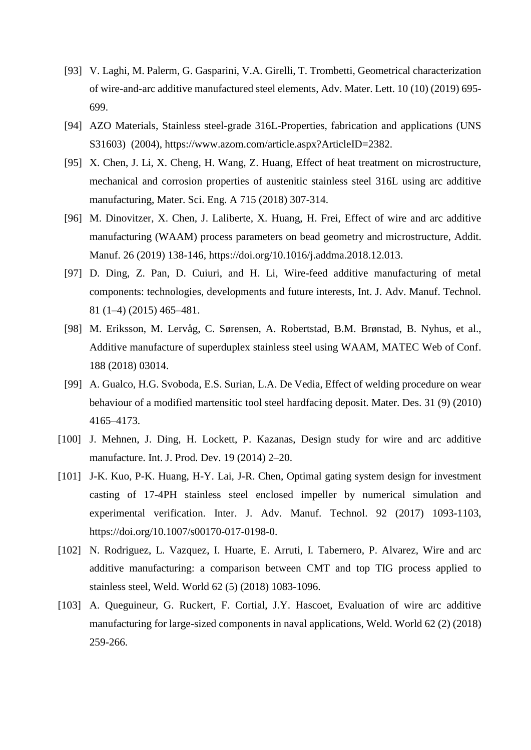- [93] V. Laghi, M. Palerm, G. Gasparini, V.A. Girelli, T. Trombetti, Geometrical characterization of wire-and-arc additive manufactured steel elements, Adv. Mater. Lett. 10 (10) (2019) 695- 699.
- [94] AZO Materials, Stainless steel-grade 316L-Properties, fabrication and applications (UNS S31603) (2004), [https://www.azom.com/article.aspx?ArticleID=2382.](https://www.azom.com/article.aspx?ArticleID=2382)
- [95] X. Chen, J. Li, X. Cheng, H. Wang, Z. Huang, Effect of heat treatment on microstructure, mechanical and corrosion properties of austenitic stainless steel 316L using arc additive manufacturing, Mater. Sci. Eng. A 715 (2018) 307-314.
- [96] M. Dinovitzer, X. Chen, J. Laliberte, X. Huang, H. Frei, Effect of wire and arc additive manufacturing (WAAM) process parameters on bead geometry and microstructure, Addit. Manuf. 26 (2019) 138-146, https://doi.org/10.1016/j.addma.2018.12.013.
- [97] D. Ding, Z. Pan, D. Cuiuri, and H. Li, Wire-feed additive manufacturing of metal components: technologies, developments and future interests, Int. J. Adv. Manuf. Technol. 81 (1–4) (2015) 465–481.
- [98] M. Eriksson, M. Lervåg, C. Sørensen, A. Robertstad, B.M. Brønstad, B. Nyhus, et al., Additive manufacture of superduplex stainless steel using WAAM, MATEC Web of Conf. 188 (2018) 03014.
- [99] A. Gualco, H.G. Svoboda, E.S. Surian, L.A. De Vedia, Effect of welding procedure on wear behaviour of a modified martensitic tool steel hardfacing deposit. Mater. Des. 31 (9) (2010) 4165–4173.
- [100] J. Mehnen, J. Ding, H. Lockett, P. Kazanas, Design study for wire and arc additive manufacture. Int. J. Prod. Dev. 19 (2014) 2–20.
- [101] J-K. Kuo, P-K. Huang, H-Y. Lai, J-R. Chen, Optimal gating system design for investment casting of 17-4PH stainless steel enclosed impeller by numerical simulation and experimental verification. Inter. J. Adv. Manuf. Technol. 92 (2017) 1093-1103, [https://doi.org/10.1007/s00170-017-0198-0.](https://doi.org/10.1007/s00170-017-0198-0)
- [102] N. Rodriguez, L. Vazquez, I. Huarte, E. Arruti, I. Tabernero, P. Alvarez, Wire and arc additive manufacturing: a comparison between CMT and top TIG process applied to stainless steel, Weld. World 62 (5) (2018) 1083-1096.
- [103] A. Queguineur, G. Ruckert, F. Cortial, J.Y. Hascoet, Evaluation of wire arc additive manufacturing for large-sized components in naval applications, Weld. World 62 (2) (2018) 259-266.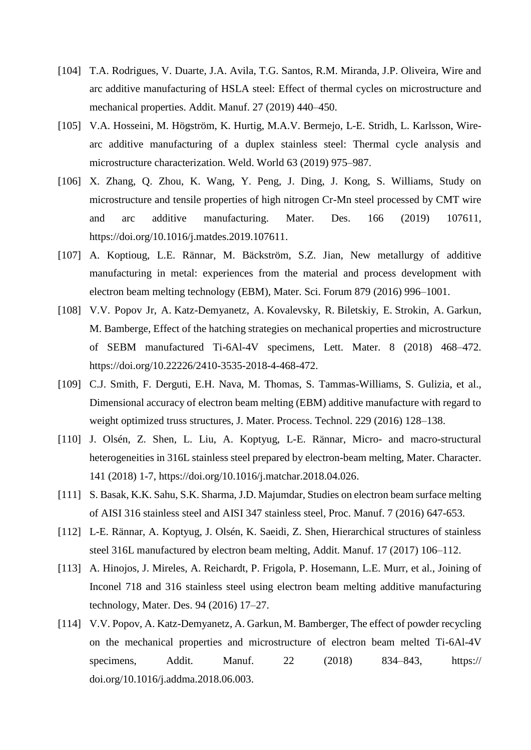- [104] T.A. Rodrigues, V. Duarte, J.A. Avila, T.G. Santos, R.M. Miranda, J.P. Oliveira, Wire and arc additive manufacturing of HSLA steel: Effect of thermal cycles on microstructure and mechanical properties. Addit. Manuf. 27 (2019) 440–450.
- [105] V.A. Hosseini, M. Högström, K. Hurtig, M.A.V. Bermejo, L-E. Stridh, L. Karlsson, Wirearc additive manufacturing of a duplex stainless steel: Thermal cycle analysis and microstructure characterization. Weld. World 63 (2019) 975–987.
- [106] X. Zhang, Q. Zhou, K. Wang, Y. Peng, J. Ding, J. Kong, S. Williams, Study on microstructure and tensile properties of high nitrogen Cr-Mn steel processed by CMT wire and arc additive manufacturing. Mater. Des. 166 (2019) 107611, [https://doi.org/10.1016/j.matdes.2019.107611.](https://doi.org/10.1016/j.matdes.2019.107611)
- [107] A. Koptioug, L.E. Rännar, M. Bäckström, S.Z. Jian, New metallurgy of additive manufacturing in metal: experiences from the material and process development with electron beam melting technology (EBM), Mater. Sci. Forum 879 (2016) 996–1001.
- [108] V.V. Popov Jr, A. Katz-Demyanetz, A. Kovalevsky, R. Biletskiy, E. Strokin, A. Garkun, M. Bamberge, Effect of the hatching strategies on mechanical properties and microstructure of SEBM manufactured Ti-6Al-4V specimens, Lett. Mater. 8 (2018) 468–472. https://doi.org/10.22226/2410-3535-2018-4-468-472.
- [109] C.J. Smith, F. Derguti, E.H. Nava, M. Thomas, S. Tammas-Williams, S. Gulizia, et al., Dimensional accuracy of electron beam melting (EBM) additive manufacture with regard to weight optimized truss structures, J. Mater. Process. Technol. 229 (2016) 128–138.
- [110] J. Olsén, Z. Shen, L. Liu, A. Koptyug, L-E. Rännar, Micro- and macro-structural heterogeneities in 316L stainless steel prepared by electron-beam melting, Mater. Character. 141 (2018) 1-7, [https://doi.org/10.1016/j.matchar.2018.04.026.](https://doi.org/10.1016/j.matchar.2018.04.026)
- [111] S. Basak, K.K. Sahu, S.K. Sharma, J.D. Majumdar, Studies on electron beam surface melting of AISI 316 stainless steel and AISI 347 stainless steel, Proc. Manuf. 7 (2016) 647-653.
- [112] L-E. Rännar, A. Koptyug, J. Olsén, K. Saeidi, Z. Shen, Hierarchical structures of stainless steel 316L manufactured by electron beam melting, Addit. Manuf. 17 (2017) 106–112.
- [113] A. Hinojos, J. Mireles, A. Reichardt, P. Frigola, P. Hosemann, L.E. Murr, et al., Joining of Inconel 718 and 316 stainless steel using electron beam melting additive manufacturing technology, Mater. Des. 94 (2016) 17–27.
- [114] V.V. Popov, A. Katz-Demyanetz, A. Garkun, M. Bamberger, The effect of powder recycling on the mechanical properties and microstructure of electron beam melted Ti-6Al-4V specimens, Addit. Manuf. 22 (2018) 834–843, https:// doi.org/10.1016/j.addma.2018.06.003.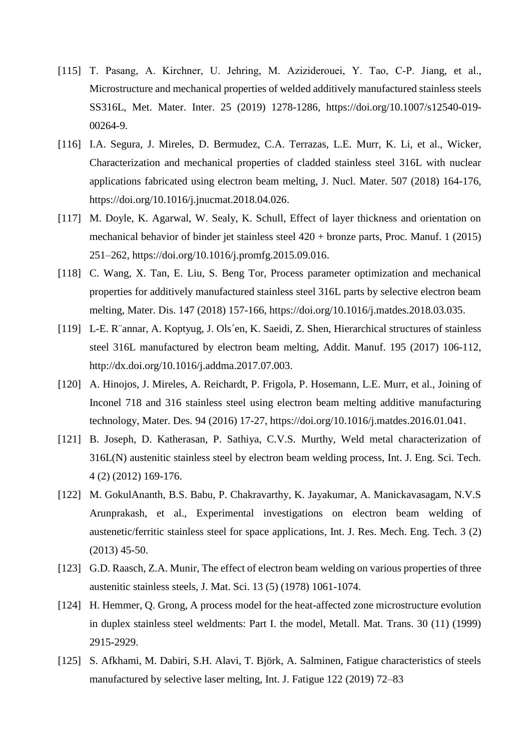- [115] T. Pasang, A. Kirchner, U. Jehring, M. Aziziderouei, Y. Tao, C‑P. Jiang, et al., Microstructure and mechanical properties of welded additively manufactured stainless steels SS316L, Met. Mater. Inter. 25 (2019) 1278-1286, https://doi.org/10.1007/s12540-019- 00264-9.
- [116] I.A. Segura, J. Mireles, D. Bermudez, C.A. Terrazas, L.E. Murr, K. Li, et al., Wicker, Characterization and mechanical properties of cladded stainless steel 316L with nuclear applications fabricated using electron beam melting, J. Nucl. Mater. 507 (2018) 164-176, [https://doi.org/10.1016/j.jnucmat.2018.04.026.](https://doi.org/10.1016/j.jnucmat.2018.04.026)
- [117] M. Doyle, K. Agarwal, W. Sealy, K. Schull, Effect of layer thickness and orientation on mechanical behavior of binder jet stainless steel 420 + bronze parts, Proc. Manuf. 1 (2015) 251–262, [https://doi.org/10.1016/j.promfg.2015.09.016.](https://doi.org/10.1016/j.promfg.2015.09.016)
- [118] C. Wang, X. Tan, E. Liu, S. Beng Tor, Process parameter optimization and mechanical properties for additively manufactured stainless steel 316L parts by selective electron beam melting, Mater. Dis. 147 (2018) 157-166, [https://doi.org/10.1016/j.matdes.2018.03.035.](https://doi.org/10.1016/j.matdes.2018.03.035)
- [119] L-E. R¨annar, A. Koptyug, J. Ols´en, K. Saeidi, Z. Shen, Hierarchical structures of stainless steel 316L manufactured by electron beam melting, Addit. Manuf. 195 (2017) 106-112, [http://dx.doi.org/10.1016/j.addma.2017.07.003.](http://dx.doi.org/10.1016/j.addma.2017.07.003)
- [120] A. Hinojos, J. Mireles, A. Reichardt, P. Frigola, P. Hosemann, L.E. Murr, et al., Joining of Inconel 718 and 316 stainless steel using electron beam melting additive manufacturing technology, Mater. Des. 94 (2016) 17-27, [https://doi.org/10.1016/j.matdes.2016.01.041.](https://doi.org/10.1016/j.matdes.2016.01.041)
- [121] B. Joseph, D. Katherasan, P. Sathiya, C.V.S. Murthy, Weld metal characterization of 316L(N) austenitic stainless steel by electron beam welding process, Int. J. Eng. Sci. Tech. 4 (2) (2012) 169-176.
- [122] M. GokulAnanth, B.S. Babu, P. Chakravarthy, K. Jayakumar, A. Manickavasagam, N.V.S Arunprakash, et al., Experimental investigations on electron beam welding of austenetic/ferritic stainless steel for space applications, Int. J. Res. Mech. Eng. Tech. 3 (2) (2013) 45-50.
- [123] G.D. Raasch, Z.A. Munir, The effect of electron beam welding on various properties of three austenitic stainless steels, J. Mat. Sci. 13 (5) (1978) 1061-1074.
- [124] H. Hemmer, Q. Grong, A process model for the heat-affected zone microstructure evolution in duplex stainless steel weldments: Part I. the model, Metall. Mat. Trans. 30 (11) (1999) 2915-2929.
- [125] S. Afkhami, M. Dabiri, S.H. Alavi, T. Björk, A. Salminen, Fatigue characteristics of steels manufactured by selective laser melting, Int. J. Fatigue 122 (2019) 72–83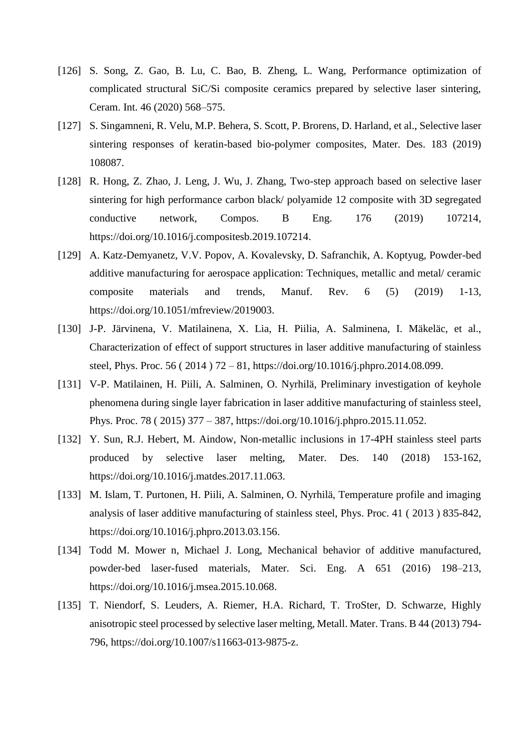- [126] S. Song, Z. Gao, B. Lu, C. Bao, B. Zheng, L. Wang, Performance optimization of complicated structural SiC/Si composite ceramics prepared by selective laser sintering, Ceram. Int. 46 (2020) 568–575.
- [127] S. Singamneni, R. Velu, M.P. Behera, S. Scott, P. Brorens, D. Harland, et al., Selective laser sintering responses of keratin-based bio-polymer composites, Mater. Des. 183 (2019) 108087.
- [128] R. Hong, Z. Zhao, J. Leng, J. Wu, J. Zhang, Two-step approach based on selective laser sintering for high performance carbon black/ polyamide 12 composite with 3D segregated conductive network, Compos. B Eng. 176 (2019) 107214, [https://doi.org/10.1016/j.compositesb.2019.107214.](https://doi.org/10.1016/j.compositesb.2019.107214)
- [129] A. Katz-Demyanetz, V.V. Popov, A. Kovalevsky, D. Safranchik, A. Koptyug, Powder-bed additive manufacturing for aerospace application: Techniques, metallic and metal/ ceramic composite materials and trends, Manuf. Rev. 6 (5) (2019) 1-13, https://doi.org/10.1051/mfreview/2019003.
- [130] J-P. Järvinena, V. Matilainena, X. Lia, H. Piilia, A. Salminena, I. Mäkeläc, et al., Characterization of effect of support structures in laser additive manufacturing of stainless steel, Phys. Proc. 56 ( 2014 ) 72 – 81, [https://doi.org/10.1016/j.phpro.2014.08.099.](https://doi.org/10.1016/j.phpro.2014.08.099)
- [131] V-P. Matilainen, H. Piili, A. Salminen, O. Nyrhilä, Preliminary investigation of keyhole phenomena during single layer fabrication in laser additive manufacturing of stainless steel, Phys. Proc. 78 ( 2015) 377 – 387, [https://doi.org/10.1016/j.phpro.2015.11.052.](https://doi.org/10.1016/j.phpro.2015.11.052)
- [132] Y. Sun, R.J. Hebert, M. Aindow, Non-metallic inclusions in 17-4PH stainless steel parts produced by selective laser melting, Mater. Des. 140 (2018) 153-162, [https://doi.org/10.1016/j.matdes.2017.11.063.](https://doi.org/10.1016/j.matdes.2017.11.063)
- [133] M. Islam, T. Purtonen, H. Piili, A. Salminen, O. Nyrhilä, Temperature profile and imaging analysis of laser additive manufacturing of stainless steel, Phys. Proc. 41 ( 2013 ) 835-842, [https://doi.org/10.1016/j.phpro.2013.03.156.](https://doi.org/10.1016/j.phpro.2013.03.156)
- [134] Todd M. Mower n, Michael J. Long, Mechanical behavior of additive manufactured, powder-bed laser-fused materials, Mater. Sci. Eng. A 651 (2016) 198–213, [https://doi.org/10.1016/j.msea.2015.10.068.](https://doi.org/10.1016/j.msea.2015.10.068)
- [135] T. Niendorf, S. Leuders, A. Riemer, H.A. Richard, T. TroSter, D. Schwarze, Highly anisotropic steel processed by selective laser melting, Metall. Mater. Trans. B 44 (2013) 794- 796, [https://doi.org/10.1007/s11663-013-9875-z.](https://doi.org/10.1007/s11663-013-9875-z)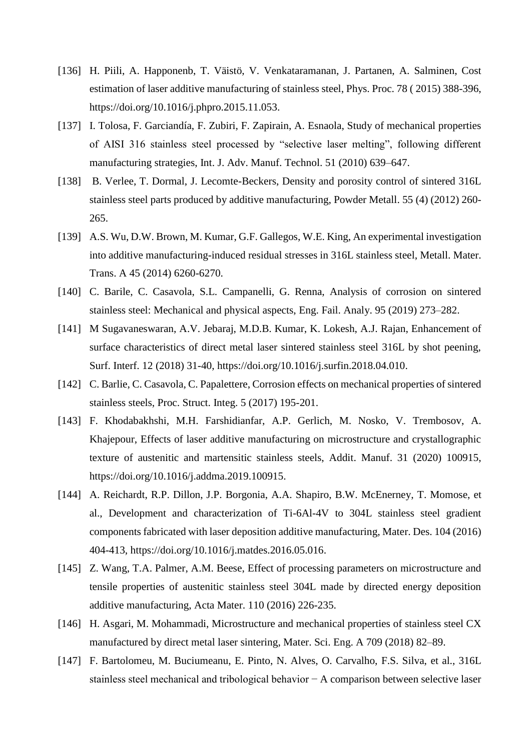- [136] H. Piili, A. Happonenb, T. Väistö, V. Venkataramanan, J. Partanen, A. Salminen, Cost estimation of laser additive manufacturing of stainless steel, Phys. Proc. 78 ( 2015) 388-396, [https://doi.org/10.1016/j.phpro.2015.11.053.](https://doi.org/10.1016/j.phpro.2015.11.053)
- [137] I. Tolosa, F. Garciandía, F. Zubiri, F. Zapirain, A. Esnaola, Study of mechanical properties of AISI 316 stainless steel processed by "selective laser melting", following different manufacturing strategies, Int. J. Adv. Manuf. Technol. 51 (2010) 639–647.
- [138] B. Verlee, T. Dormal, J. Lecomte-Beckers, Density and porosity control of sintered 316L stainless steel parts produced by additive manufacturing, Powder Metall. 55 (4) (2012) 260- 265.
- [139] A.S. Wu, D.W. Brown, M. Kumar, G.F. Gallegos, W.E. King, An experimental investigation into additive manufacturing-induced residual stresses in 316L stainless steel, Metall. Mater. Trans. A 45 (2014) 6260-6270.
- [140] C. Barile, C. Casavola, S.L. Campanelli, G. Renna, Analysis of corrosion on sintered stainless steel: Mechanical and physical aspects, Eng. Fail. Analy. 95 (2019) 273–282.
- [141] M Sugavaneswaran, A.V. Jebaraj, M.D.B. Kumar, K. Lokesh, A.J. Rajan, Enhancement of surface characteristics of direct metal laser sintered stainless steel 316L by shot peening, Surf. Interf. 12 (2018) 31-40, [https://doi.org/10.1016/j.surfin.2018.04.010.](https://doi.org/10.1016/j.surfin.2018.04.010)
- [142] C. Barlie, C. Casavola, C. Papalettere, Corrosion effects on mechanical properties of sintered stainless steels, Proc. Struct. Integ. 5 (2017) 195-201.
- [143] F. Khodabakhshi, M.H. Farshidianfar, A.P. Gerlich, M. Nosko, V. Trembosov, A. Khajepour, Effects of laser additive manufacturing on microstructure and crystallographic texture of austenitic and martensitic stainless steels, Addit. Manuf. 31 (2020) 100915, [https://doi.org/10.1016/j.addma.2019.100915.](https://doi.org/10.1016/j.addma.2019.100915)
- [144] A. Reichardt, R.P. Dillon, J.P. Borgonia, A.A. Shapiro, B.W. McEnerney, T. Momose, et al., Development and characterization of Ti-6Al-4V to 304L stainless steel gradient components fabricated with laser deposition additive manufacturing, Mater. Des. 104 (2016) 404-413, [https://doi.org/10.1016/j.matdes.2016.05.016.](https://doi.org/10.1016/j.matdes.2016.05.016)
- [145] Z. Wang, T.A. Palmer, A.M. Beese, Effect of processing parameters on microstructure and tensile properties of austenitic stainless steel 304L made by directed energy deposition additive manufacturing, Acta Mater. 110 (2016) 226-235.
- [146] H. Asgari, M. Mohammadi, Microstructure and mechanical properties of stainless steel CX manufactured by direct metal laser sintering, Mater. Sci. Eng. A 709 (2018) 82–89.
- [147] F. Bartolomeu, M. Buciumeanu, E. Pinto, N. Alves, O. Carvalho, F.S. Silva, et al., 316L stainless steel mechanical and tribological behavior − A comparison between selective laser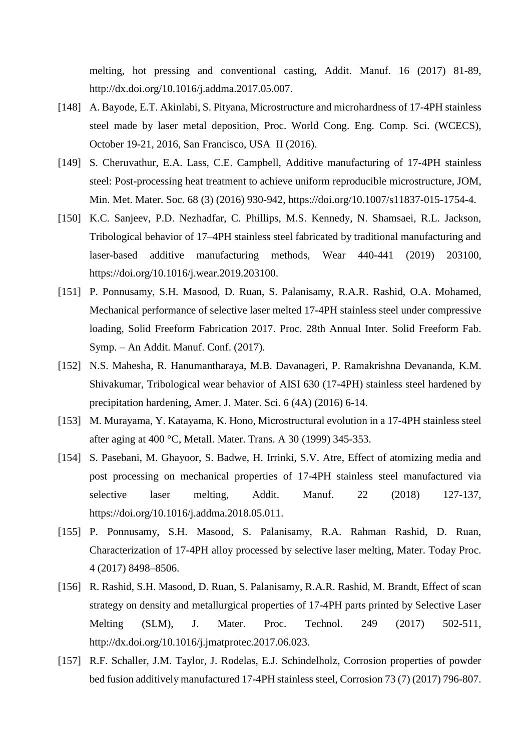melting, hot pressing and conventional casting, Addit. Manuf. 16 (2017) 81-89, [http://dx.doi.org/10.1016/j.addma.2017.05.007.](http://dx.doi.org/10.1016/j.addma.2017.05.007)

- [148] A. Bayode, E.T. Akinlabi, S. Pityana, Microstructure and microhardness of 17-4PH stainless steel made by laser metal deposition, Proc. World Cong. Eng. Comp. Sci. (WCECS), October 19-21, 2016, San Francisco, USA II (2016).
- [149] S. Cheruvathur, E.A. Lass, C.E. Campbell, Additive manufacturing of 17-4PH stainless steel: Post-processing heat treatment to achieve uniform reproducible microstructure, JOM, Min. Met. Mater. Soc. 68 (3) (2016) 930-942, [https://doi.org/10.1007/s11837-015-1754-4.](https://doi.org/10.1007/s11837-015-1754-4)
- [150] K.C. Sanjeev, P.D. Nezhadfar, C. Phillips, M.S. Kennedy, N. Shamsaei, R.L. Jackson, Tribological behavior of 17–4PH stainless steel fabricated by traditional manufacturing and laser-based additive manufacturing methods, Wear 440-441 (2019) 203100, [https://doi.org/10.1016/j.wear.2019.203100.](https://doi.org/10.1016/j.wear.2019.203100)
- [151] P. Ponnusamy, S.H. Masood, D. Ruan, S. Palanisamy, R.A.R. Rashid, O.A. Mohamed, Mechanical performance of selective laser melted 17-4PH stainless steel under compressive loading, Solid Freeform Fabrication 2017. Proc. 28th Annual Inter. Solid Freeform Fab. Symp. – An Addit. Manuf. Conf. (2017).
- [152] N.S. Mahesha, R. Hanumantharaya, M.B. Davanageri, P. Ramakrishna Devananda, K.M. Shivakumar, Tribological wear behavior of AISI 630 (17-4PH) stainless steel hardened by precipitation hardening, Amer. J. Mater. Sci. 6 (4A) (2016) 6-14.
- [153] M. Murayama, Y. Katayama, K. Hono, Microstructural evolution in a 17-4PH stainless steel after aging at 400 °C, Metall. Mater. Trans. A 30 (1999) 345-353.
- [154] S. Pasebani, M. Ghayoor, S. Badwe, H. Irrinki, S.V. Atre, Effect of atomizing media and post processing on mechanical properties of 17-4PH stainless steel manufactured via selective laser melting, Addit. Manuf. 22 (2018) 127-137, [https://doi.org/10.1016/j.addma.2018.05.011.](https://doi.org/10.1016/j.addma.2018.05.011)
- [155] P. Ponnusamy, S.H. Masood, S. Palanisamy, R.A. Rahman Rashid, D. Ruan, Characterization of 17-4PH alloy processed by selective laser melting, Mater. Today Proc. 4 (2017) 8498–8506.
- [156] R. Rashid, S.H. Masood, D. Ruan, S. Palanisamy, R.A.R. Rashid, M. Brandt, Effect of scan strategy on density and metallurgical properties of 17-4PH parts printed by Selective Laser Melting (SLM), J. Mater. Proc. Technol. 249 (2017) 502-511, [http://dx.doi.org/10.1016/j.jmatprotec.2017.06.023.](http://dx.doi.org/10.1016/j.jmatprotec.2017.06.023)
- [157] R.F. Schaller, J.M. Taylor, J. Rodelas, E.J. Schindelholz, Corrosion properties of powder bed fusion additively manufactured 17-4PH stainless steel, Corrosion 73 (7) (2017) 796-807.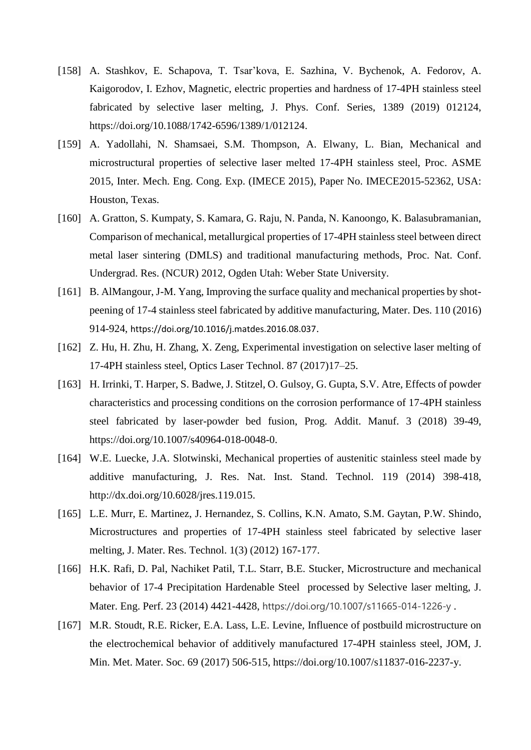- [158] A. Stashkov, E. Schapova, T. Tsar'kova, E. Sazhina, V. Bychenok, A. Fedorov, A. Kaigorodov, I. Ezhov, Magnetic, electric properties and hardness of 17-4PH stainless steel fabricated by selective laser melting, J. Phys. Conf. Series, 1389 (2019) 012124, https://doi.org/10.1088/1742-6596/1389/1/012124.
- [159] A. Yadollahi, N. Shamsaei, S.M. Thompson, A. Elwany, L. Bian, Mechanical and microstructural properties of selective laser melted 17-4PH stainless steel, Proc. ASME 2015, Inter. Mech. Eng. Cong. Exp. (IMECE 2015), Paper No. IMECE2015-52362, USA: Houston, Texas.
- [160] A. Gratton, S. Kumpaty, S. Kamara, G. Raju, N. Panda, N. Kanoongo, K. Balasubramanian, Comparison of mechanical, metallurgical properties of 17-4PH stainless steel between direct metal laser sintering (DMLS) and traditional manufacturing methods, Proc. Nat. Conf. Undergrad. Res. (NCUR) 2012, Ogden Utah: Weber State University.
- [161] B. AlMangour, J-M. Yang, Improving the surface quality and mechanical properties by shotpeening of 17-4 stainless steel fabricated by additive manufacturing, Mater. Des. 110 (2016) 914-924, <https://doi.org/10.1016/j.matdes.2016.08.037>.
- [162] Z. Hu, H. Zhu, H. Zhang, X. Zeng, Experimental investigation on selective laser melting of 17-4PH stainless steel, Optics Laser Technol. 87 (2017)17–25.
- [163] H. Irrinki, T. Harper, S. Badwe, J. Stitzel, O. Gulsoy, G. Gupta, S.V. Atre, Effects of powder characteristics and processing conditions on the corrosion performance of 17-4PH stainless steel fabricated by laser-powder bed fusion, Prog. Addit. Manuf. 3 (2018) 39-49, https://doi.org/10.1007/s40964-018-0048-0.
- [164] W.E. Luecke, J.A. Slotwinski, Mechanical properties of austenitic stainless steel made by additive manufacturing, J. Res. Nat. Inst. Stand. Technol. 119 (2014) 398-418, [http://dx.doi.org/10.6028/jres.119.015.](http://dx.doi.org/10.6028/jres.119.015)
- [165] L.E. Murr, E. Martinez, J. Hernandez, S. Collins, K.N. Amato, S.M. Gaytan, P.W. Shindo, Microstructures and properties of 17-4PH stainless steel fabricated by selective laser melting, J. Mater. Res. Technol. 1(3) (2012) 167-177.
- [166] H.K. Rafi, D. Pal, Nachiket Patil, T.L. Starr, B.E. Stucker, Microstructure and mechanical behavior of 17-4 Precipitation Hardenable Steel processed by Selective laser melting, J. Mater. Eng. Perf. 23 (2014) 4421-4428, https://doi.org/10.1007/s11665-014-1226-y .
- [167] M.R. Stoudt, R.E. Ricker, E.A. Lass, L.E. Levine, Influence of postbuild microstructure on the electrochemical behavior of additively manufactured 17-4PH stainless steel, JOM, J. Min. Met. Mater. Soc. 69 (2017) 506-515, https://doi.org/10.1007/s11837-016-2237-y.